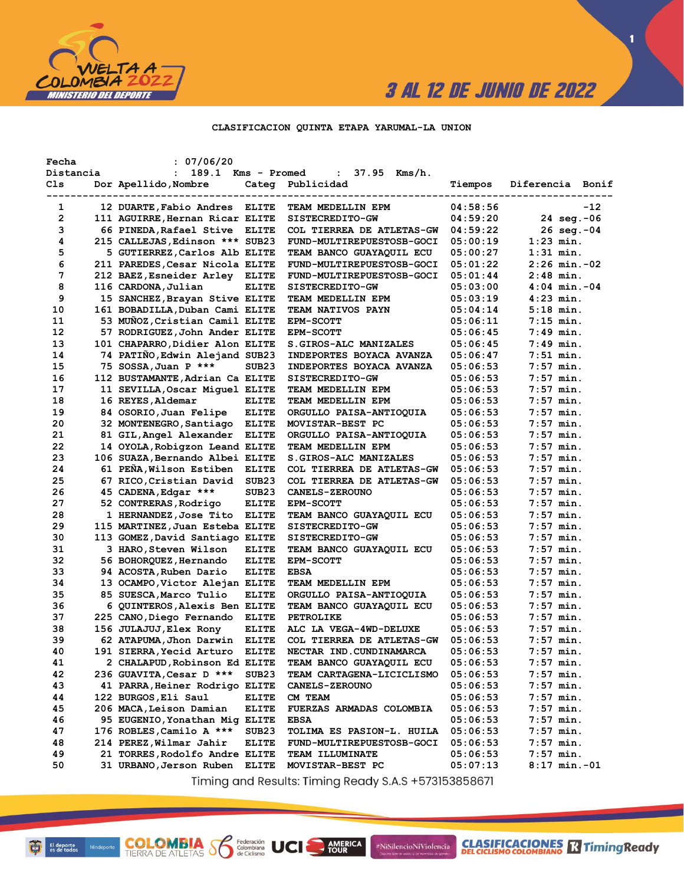

 $\blacksquare$ 

#### CLASIFICACION QUINTA ETAPA YARUMAL-LA UNION

| Fecha        |           | : 07/06/20                      |                   |                           |          |                       |       |
|--------------|-----------|---------------------------------|-------------------|---------------------------|----------|-----------------------|-------|
|              | Distancia | : 189.1 Kms - Promed            |                   | : $37.95$ Kms/h.          |          |                       |       |
| Cls          |           | Dor Apellido, Nombre            | ---------------   | Categ Publicidad          | Tiempos  | Diferencia Bonif      |       |
| 1            |           | 12 DUARTE, Fabio Andres ELITE   |                   | TEAM MEDELLIN EPM         | 04:58:56 |                       | $-12$ |
| $\mathbf{2}$ |           | 111 AGUIRRE, Hernan Ricar ELITE |                   | SISTECREDITO-GW           | 04:59:20 | 24 seg.-06            |       |
| з            |           | 66 PINEDA, Rafael Stive ELITE   |                   | COL TIERREA DE ATLETAS-GW | 04:59:22 | $26 \text{ seq.} -04$ |       |
| 4            |           | 215 CALLEJAS, Edinson *** SUB23 |                   | FUND-MULTIREPUESTOSB-GOCI | 05:00:19 | $1:23$ min.           |       |
| 5            |           | 5 GUTIERREZ, Carlos Alb ELITE   |                   | TEAM BANCO GUAYAQUIL ECU  | 05:00:27 | $1:31$ min.           |       |
| 6            |           | 211 PAREDES, Cesar Nicola ELITE |                   | FUND-MULTIREPUESTOSB-GOCI | 05:01:22 | $2:26$ min.-02        |       |
| 7            |           | 212 BAEZ, Esneider Arley ELITE  |                   | FUND-MULTIREPUESTOSB-GOCI | 05:01:44 | $2:48$ min.           |       |
| 8            |           | 116 CARDONA, Julian             | <b>ELITE</b>      | SISTECREDITO-GW           | 05:03:00 | $4:04$ min.-04        |       |
| 9            |           | 15 SANCHEZ, Brayan Stive ELITE  |                   | TEAM MEDELLIN EPM         | 05:03:19 | $4:23$ min.           |       |
| 10           |           | 161 BOBADILLA, Duban Cami ELITE |                   | TEAM NATIVOS PAYN         | 05:04:14 | $5:18$ min.           |       |
| 11           |           | 53 MUÑOZ, Cristian Camil ELITE  |                   | <b>EPM-SCOTT</b>          | 05:06:11 | $7:15$ min.           |       |
| 12           |           | 57 RODRIGUEZ, John Ander ELITE  |                   | <b>EPM-SCOTT</b>          | 05:06:45 | $7:49$ min.           |       |
| 13           |           | 101 CHAPARRO, Didier Alon ELITE |                   | S.GIROS-ALC MANIZALES     | 05:06:45 | 7:49 min.             |       |
| 14           |           | 74 PATIÑO, Edwin Alejand SUB23  |                   | INDEPORTES BOYACA AVANZA  | 05:06:47 | $7:51$ min.           |       |
| 15           |           | 75 SOSSA, Juan P ***            | SUB <sub>23</sub> | INDEPORTES BOYACA AVANZA  | 05:06:53 | $7:57$ min.           |       |
| 16           |           | 112 BUSTAMANTE, Adrian Ca ELITE |                   | SISTECREDITO-GW           | 05:06:53 | $7:57$ min.           |       |
| 17           |           | 11 SEVILLA, Oscar Miquel ELITE  |                   | TEAM MEDELLIN EPM         | 05:06:53 | $7:57$ min.           |       |
| 18           |           | 16 REYES, Aldemar               | <b>ELITE</b>      | TEAM MEDELLIN EPM         | 05:06:53 | $7:57$ min.           |       |
| 19           |           | 84 OSORIO, Juan Felipe          | <b>ELITE</b>      | ORGULLO PAISA-ANTIOQUIA   | 05:06:53 | $7:57$ min.           |       |
| 20           |           | 32 MONTENEGRO, Santiago         | ELITE             | MOVISTAR-BEST PC          | 05:06:53 | $7:57$ min.           |       |
| 21           |           | 81 GIL, Angel Alexander         | <b>ELITE</b>      | ORGULLO PAISA-ANTIOQUIA   | 05:06:53 | $7:57$ min.           |       |
| 22           |           | 14 OYOLA, Robigzon Leand ELITE  |                   | TEAM MEDELLIN EPM         | 05:06:53 | $7:57$ min.           |       |
| 23           |           | 106 SUAZA, Bernando Albei ELITE |                   | S.GIROS-ALC MANIZALES     | 05:06:53 | $7:57$ min.           |       |
| 24           |           | 61 PEÑA, Wilson Estiben         | <b>ELITE</b>      | COL TIERREA DE ATLETAS-GW | 05:06:53 | $7:57$ min.           |       |
| 25           |           | 67 RICO, Cristian David         | SUB <sub>23</sub> | COL TIERREA DE ATLETAS-GW | 05:06:53 | $7:57$ min.           |       |
| 26           |           | 45 CADENA, Edgar ***            | SUB <sub>23</sub> | <b>CANELS-ZEROUNO</b>     | 05:06:53 | $7:57$ min.           |       |
| 27           |           | 52 CONTRERAS, Rodrigo           | <b>ELITE</b>      | <b>EPM-SCOTT</b>          | 05:06:53 | $7:57$ min.           |       |
| 28           |           | 1 HERNANDEZ,Jose Tito           | <b>ELITE</b>      | TEAM BANCO GUAYAQUIL ECU  | 05:06:53 | $7:57$ min.           |       |
| 29           |           | 115 MARTINEZ, Juan Esteba ELITE |                   | SISTECREDITO-GW           | 05:06:53 | $7:57$ min.           |       |
| 30           |           | 113 GOMEZ, David Santiago ELITE |                   | SISTECREDITO-GW           | 05:06:53 | $7:57$ min.           |       |
| 31           |           | 3 HARO, Steven Wilson           | <b>ELITE</b>      | TEAM BANCO GUAYAQUIL ECU  | 05:06:53 | $7:57$ min.           |       |
| 32           |           | 56 BOHORQUEZ, Hernando          | <b>ELITE</b>      | <b>EPM-SCOTT</b>          | 05:06:53 | $7:57$ min.           |       |
| 33           |           | 94 ACOSTA, Ruben Dario          | <b>ELITE</b>      | <b>EBSA</b>               | 05:06:53 | $7:57$ min.           |       |
| 34           |           | 13 OCAMPO, Victor Alejan ELITE  |                   | TEAM MEDELLIN EPM         | 05:06:53 | $7:57$ min.           |       |
| 35           |           | 85 SUESCA, Marco Tulio          | <b>ELITE</b>      | ORGULLO PAISA-ANTIOQUIA   | 05:06:53 | $7:57$ min.           |       |
| 36           |           | 6 QUINTEROS, Alexis Ben ELITE   |                   | TEAM BANCO GUAYAQUIL ECU  | 05:06:53 | $7:57$ min.           |       |
| 37           |           | 225 CANO, Diego Fernando        | <b>ELITE</b>      | PETROLIKE                 | 05:06:53 | $7:57$ min.           |       |
| 38           |           | 156 JULAJUJ, Elex Rony          | <b>ELITE</b>      | ALC LA VEGA-4WD-DELUXE    | 05:06:53 | $7:57$ min.           |       |
| 39           |           | 62 ATAPUMA, Jhon Darwin         | <b>ELITE</b>      | COL TIERREA DE ATLETAS-GW | 05:06:53 | $7:57$ min.           |       |
| 40           |           | 191 SIERRA, Yecid Arturo        | <b>ELITE</b>      | NECTAR IND. CUNDINAMARCA  | 05:06:53 | $7:57$ min.           |       |
| 41           |           | 2 CHALAPUD, Robinson Ed ELITE   |                   | TEAM BANCO GUAYAQUIL ECU  | 05:06:53 | 7:57 min.             |       |
| 42           |           | 236 GUAVITA, Cesar D ***        | SUB <sub>23</sub> | TEAM CARTAGENA-LICICLISMO | 05:06:53 | $7:57$ min.           |       |
| 43           |           | 41 PARRA, Heiner Rodrigo ELITE  |                   | <b>CANELS-ZEROUNO</b>     | 05:06:53 | $7:57$ min.           |       |
| 44           |           | 122 BURGOS, Eli Saul            | <b>ELITE</b>      | CM TEAM                   | 05:06:53 | 7:57 min.             |       |
| 45           |           | 206 MACA, Leison Damian         | <b>ELITE</b>      | FUERZAS ARMADAS COLOMBIA  | 05:06:53 | $7:57$ min.           |       |
| 46           |           | 95 EUGENIO, Yonathan Mig ELITE  |                   | <b>EBSA</b>               | 05:06:53 | $7:57$ min.           |       |
| 47           |           | 176 ROBLES, Camilo A ***        | SUB <sub>23</sub> | TOLIMA ES PASION-L. HUILA | 05:06:53 | $7:57$ min.           |       |
| 48           |           | 214 PEREZ, Wilmar Jahir         | <b>ELITE</b>      | FUND-MULTIREPUESTOSB-GOCI | 05:06:53 | $7:57$ min.           |       |
| 49           |           | 21 TORRES, Rodolfo Andre ELITE  |                   | <b>TEAM ILLUMINATE</b>    | 05:06:53 | $7:57$ min.           |       |
| 50           |           | 31 URBANO, Jerson Ruben         | <b>ELITE</b>      | MOVISTAR-BEST PC          | 05:07:13 | $8:17$ min.-01        |       |

Timing and Results: Timing Ready S.A.S +573153858671

AMERICA

#NiSilencioNiViolencia

**COLOMBIA SS** 

Federación<br>Colombiana<br>de Ciclismo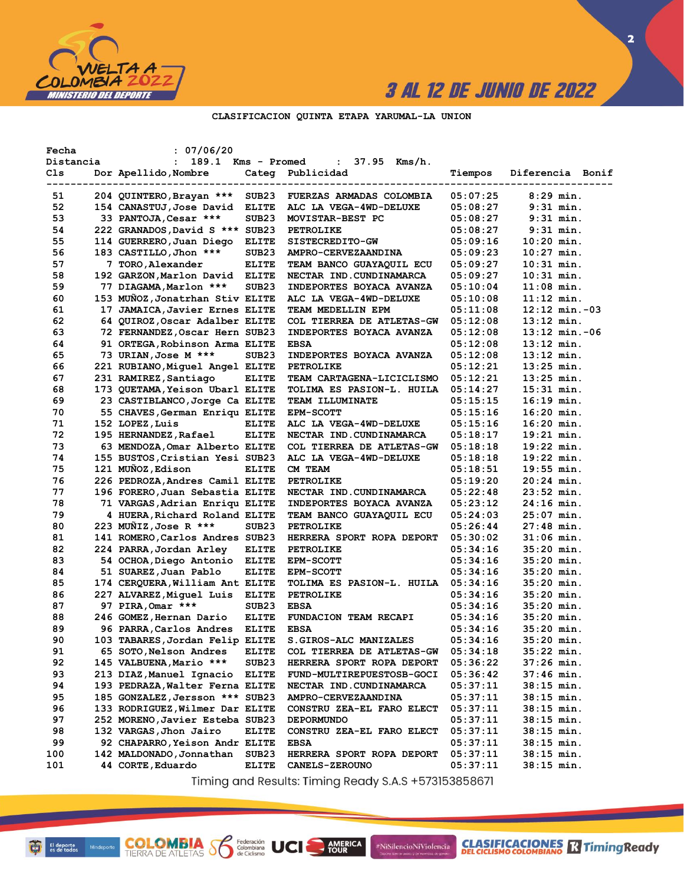

 $\overline{\mathbf{2}}$ 

#### CLASIFICACION QUINTA ETAPA YARUMAL-LA UNION

| Fecha          | : 07/06/20                      |                   |                           |          |                    |
|----------------|---------------------------------|-------------------|---------------------------|----------|--------------------|
| Distancia      | : 189.1 Kms - Promed            |                   | : $37.95$ Kms/h.          |          |                    |
| Cls<br>------- | Dor Apellido, Nombre            |                   | Categ Publicidad          | Tiempos  | Diferencia Bonif   |
| 51             | 204 QUINTERO, Brayan ***        | SUB <sub>23</sub> | FUERZAS ARMADAS COLOMBIA  | 05:07:25 | $8:29$ min.        |
| 52             | 154 CANASTUJ, Jose David ELITE  |                   | ALC LA VEGA-4WD-DELUXE    | 05:08:27 | $9:31$ min.        |
| 53             | 33 PANTOJA, Cesar ***           | SUB <sub>23</sub> | MOVISTAR-BEST PC          | 05:08:27 | $9:31$ min.        |
| 54             | 222 GRANADOS, David S *** SUB23 |                   | PETROLIKE                 | 05:08:27 | $9:31$ min.        |
| 55             | 114 GUERRERO, Juan Diego        | <b>ELITE</b>      | SISTECREDITO-GW           | 05:09:16 | $10:20$ min.       |
| 56             | 183 CASTILLO, Jhon ***          | SUB <sub>23</sub> | AMPRO-CERVEZAANDINA       | 05:09:23 | $10:27$ min.       |
| 57             | 7 TORO, Alexander               | <b>ELITE</b>      | TEAM BANCO GUAYAQUIL ECU  | 05:09:27 | $10:31$ min.       |
| 58             | 192 GARZON, Marlon David ELITE  |                   | NECTAR IND. CUNDINAMARCA  | 05:09:27 | $10:31$ min.       |
| 59             | 77 DIAGAMA, Marlon ***          | SUB <sub>23</sub> | INDEPORTES BOYACA AVANZA  | 05:10:04 | $11:08$ min.       |
| 60             | 153 MUÑOZ, Jonatrhan Stiv ELITE |                   | ALC LA VEGA-4WD-DELUXE    | 05:10:08 | $11:12$ min.       |
| 61             | 17 JAMAICA, Javier Ernes ELITE  |                   | TEAM MEDELLIN EPM         | 05:11:08 | $12:12$ min. $-03$ |
| 62             | 64 QUIROZ, Oscar Adalber ELITE  |                   | COL TIERREA DE ATLETAS-GW | 05:12:08 | $13:12$ min.       |
| 63             | 72 FERNANDEZ, Oscar Hern SUB23  |                   | INDEPORTES BOYACA AVANZA  | 05:12:08 | $13:12$ min. $-06$ |
| 64             | 91 ORTEGA, Robinson Arma ELITE  |                   | <b>EBSA</b>               | 05:12:08 | $13:12$ min.       |
| 65             | 73 URIAN, Jose M ***            | SUB <sub>23</sub> | INDEPORTES BOYACA AVANZA  | 05:12:08 | $13:12$ min.       |
| 66             | 221 RUBIANO, Miquel Angel ELITE |                   | PETROLIKE                 | 05:12:21 | $13:25$ min.       |
| 67             | 231 RAMIREZ, Santiago           | <b>ELITE</b>      | TEAM CARTAGENA-LICICLISMO | 05:12:21 | $13:25$ min.       |
| 68             | 173 QUETAMA, Yeison Ubarl ELITE |                   | TOLIMA ES PASION-L. HUILA | 05:14:27 | $15:31$ min.       |
| 69             | 23 CASTIBLANCO, Jorge Ca ELITE  |                   | TEAM ILLUMINATE           | 05:15:15 | $16:19$ min.       |
| 70             | 55 CHAVES, German Enriqu ELITE  |                   | <b>EPM-SCOTT</b>          | 05:15:16 | $16:20$ min.       |
| 71             | 152 LOPEZ, Luis                 | <b>ELITE</b>      | ALC LA VEGA-4WD-DELUXE    | 05:15:16 | $16:20$ min.       |
| 72             | 195 HERNANDEZ, Rafael           | <b>ELITE</b>      | NECTAR IND. CUNDINAMARCA  | 05:18:17 | $19:21$ min.       |
| 73             | 63 MENDOZA, Omar Alberto ELITE  |                   | COL TIERREA DE ATLETAS-GW | 05:18:18 | $19:22$ min.       |
| 74             | 155 BUSTOS, Cristian Yesi SUB23 |                   | ALC LA VEGA-4WD-DELUXE    | 05:18:18 | $19:22$ min.       |
| 75             | 121 MUÑOZ, Edison               | <b>ELITE</b>      | CM TEAM                   | 05:18:51 | $19:55$ min.       |
| 76             | 226 PEDROZA, Andres Camil ELITE |                   | PETROLIKE                 | 05:19:20 | $20:24$ min.       |
| 77             | 196 FORERO, Juan Sebastia ELITE |                   | NECTAR IND. CUNDINAMARCA  | 05:22:48 | $23:52$ min.       |
| 78             | 71 VARGAS, Adrian Enriqu ELITE  |                   | INDEPORTES BOYACA AVANZA  | 05:23:12 | 24:16 min.         |
| 79             | 4 HUERA, Richard Roland ELITE   |                   | TEAM BANCO GUAYAQUIL ECU  | 05:24:03 | $25:07$ min.       |
| 80             | 223 MUÑIZ, Jose R ***           | SUB <sub>23</sub> | PETROLIKE                 | 05:26:44 | $27:48$ min.       |
| 81             | 141 ROMERO, Carlos Andres SUB23 |                   | HERRERA SPORT ROPA DEPORT | 05:30:02 | $31:06$ min.       |
| 82             | 224 PARRA, Jordan Arley         | <b>ELITE</b>      | PETROLIKE                 | 05:34:16 | $35:20$ min.       |
| 83             | 54 OCHOA, Diego Antonio ELITE   |                   | <b>EPM-SCOTT</b>          | 05:34:16 | $35:20$ min.       |
| 84             | 51 SUAREZ, Juan Pablo           | <b>ELITE</b>      | <b>EPM-SCOTT</b>          | 05:34:16 | $35:20$ min.       |
| 85             | 174 CERQUERA, William Ant ELITE |                   | TOLIMA ES PASION-L. HUILA | 05:34:16 | $35:20$ min.       |
| 86             | 227 ALVAREZ, Miguel Luis ELITE  |                   | PETROLIKE                 | 05:34:16 | $35:20$ min.       |
| 87             | 97 PIRA, Omar ***               | SUB <sub>23</sub> | <b>EBSA</b>               | 05:34:16 | $35:20$ min.       |
| 88             | 246 GOMEZ,Hernan Dario          | <b>ELITE</b>      | FUNDACION TEAM RECAPI     | 05:34:16 | $35:20$ min.       |
| 89             | 96 PARRA, Carlos Andres ELITE   |                   | <b>EBSA</b>               | 05:34:16 | $35:20$ min.       |
| 90             | 103 TABARES, Jordan Felip ELITE |                   | S.GIROS-ALC MANIZALES     | 05:34:16 | $35:20$ min.       |
| 91             | 65 SOTO, Nelson Andres          | <b>ELITE</b>      | COL TIERREA DE ATLETAS-GW | 05:34:18 | $35:22$ min.       |
| 92             | 145 VALBUENA, Mario ***         | SUB23             | HERRERA SPORT ROPA DEPORT | 05:36:22 | 37:26 min.         |
| 93             | 213 DIAZ, Manuel Ignacio        | <b>ELITE</b>      | FUND-MULTIREPUESTOSB-GOCI | 05:36:42 | 37:46 min.         |
| 94             | 193 PEDRAZA, Walter Ferna ELITE |                   | NECTAR IND.CUNDINAMARCA   | 05:37:11 | $38:15$ min.       |
| 95             | 185 GONZALEZ, Jersson *** SUB23 |                   | AMPRO-CERVEZAANDINA       | 05:37:11 | 38:15 min.         |
| 96             | 133 RODRIGUEZ, Wilmer Dar ELITE |                   | CONSTRU ZEA-EL FARO ELECT | 05:37:11 | 38:15 min.         |
| 97             | 252 MORENO, Javier Esteba SUB23 |                   | <b>DEPORMUNDO</b>         | 05:37:11 | $38:15$ min.       |
| 98             | 132 VARGAS, Jhon Jairo          | <b>ELITE</b>      | CONSTRU ZEA-EL FARO ELECT | 05:37:11 | 38:15 min.         |
| 99             | 92 CHAPARRO, Yeison Andr ELITE  |                   | <b>EBSA</b>               | 05:37:11 | 38:15 min.         |
| 100            | 142 MALDONADO, Jonnathan        | SUB23             | HERRERA SPORT ROPA DEPORT | 05:37:11 | 38:15 min.         |
| 101            | 44 CORTE, Eduardo               | <b>ELITE</b>      | <b>CANELS-ZEROUNO</b>     | 05:37:11 | 38:15 min.         |

Timing and Results: Timing Ready S.A.S +573153858671

AMERICA

#NiSilencioNiViolencia

**COLOMBIA S** 

Federación<br>Colombiana<br>de Ciclismo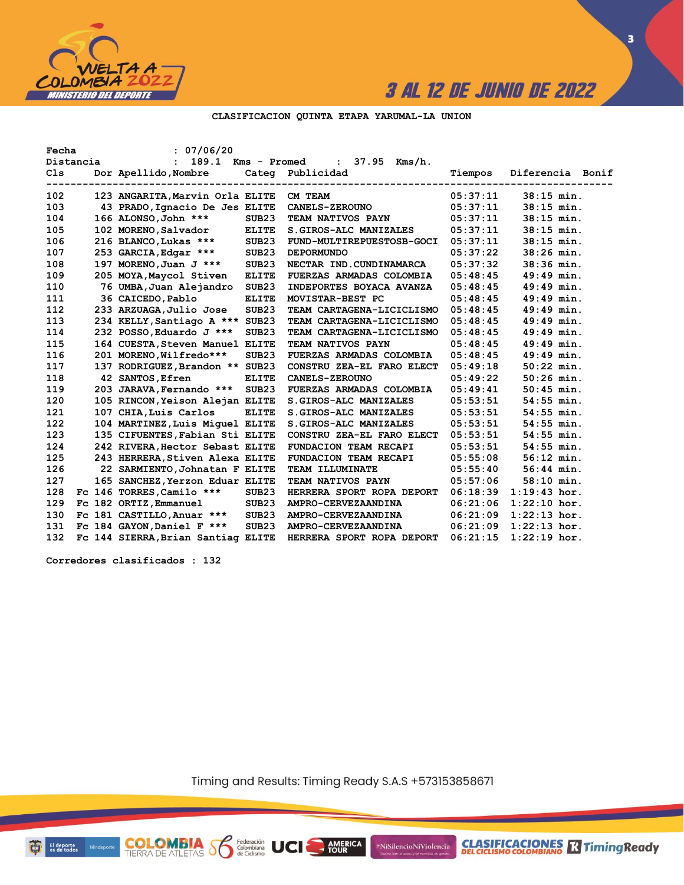

**3**

#### **CLASIFICACION QUINTA ETAPA YARUMAL-LA UNION**

| Fecha |           | : 07/06/20                         |                   |                                  |                             |                  |
|-------|-----------|------------------------------------|-------------------|----------------------------------|-----------------------------|------------------|
|       | Distancia | 189.1 Kms - Promed<br>$\mathbf{r}$ |                   | : $37.95$ Kms/h.                 |                             |                  |
| Cls   |           | Dor Apellido, Nombre               |                   | Categ Publicidad                 | Tiempos                     | Diferencia Bonif |
| 102   |           | 123 ANGARITA, Marvin Orla ELITE    |                   | CM TEAM                          | ---------------<br>05:37:11 | $38:15$ min.     |
| 103   |           | 43 PRADO, Ignacio De Jes ELITE     |                   | <b>CANELS-ZEROUNO</b>            | 05:37:11                    | $38:15$ min.     |
| 104   |           | 166 ALONSO, John ***               | SUB <sub>23</sub> | TEAM NATIVOS PAYN                | 05:37:11                    | $38:15$ min.     |
| 105   |           | 102 MORENO, Salvador               | <b>ELITE</b>      | S.GIROS-ALC MANIZALES            | 05:37:11                    | $38:15$ min.     |
| 106   |           | 216 BLANCO, Lukas ***              | SUB23             | <b>FUND-MULTIREPUESTOSB-GOCI</b> | 05:37:11                    | $38:15$ min.     |
| 107   |           | 253 GARCIA, Edgar ***              | SUB23             | <b>DEPORMUNDO</b>                | 05:37:22                    | $38:26$ min.     |
| 108   |           | 197 MORENO, Juan J ***             | SUB23             | NECTAR IND.CUNDINAMARCA          | 05:37:32                    | $38:36$ min.     |
| 109   |           | 205 MOYA, Maycol Stiven            | <b>ELITE</b>      | FUERZAS ARMADAS COLOMBIA         | 05:48:45                    | $49:49$ min.     |
| 110   |           | 76 UMBA, Juan Alejandro            | SUB <sub>23</sub> | INDEPORTES BOYACA AVANZA         | 05:48:45                    | $49:49$ min.     |
| 111   |           | 36 CAICEDO, Pablo                  | <b>ELITE</b>      | MOVISTAR-BEST PC                 | 05:48:45                    | $49:49$ min.     |
| 112   |           | 233 ARZUAGA, Julio Jose            | SUB <sub>23</sub> | TEAM CARTAGENA-LICICLISMO        | 05:48:45                    | $49:49$ min.     |
| 113   |           | 234 KELLY, Santiago A *** SUB23    |                   | TEAM CARTAGENA-LICICLISMO        | 05:48:45                    | $49:49$ min.     |
| 114   |           | 232 POSSO, Eduardo J ***           | SUB <sub>23</sub> | TEAM CARTAGENA-LICICLISMO        | 05:48:45                    | $49:49$ min.     |
| 115   |           | 164 CUESTA, Steven Manuel ELITE    |                   | TEAM NATIVOS PAYN                | 05:48:45                    | $49:49$ min.     |
| 116   |           | 201 MORENO, Wilfredo***            | SUB <sub>23</sub> | FUERZAS ARMADAS COLOMBIA         | 05:48:45                    | $49:49$ min.     |
| 117   |           | 137 RODRIGUEZ, Brandon ** SUB23    |                   | CONSTRU ZEA-EL FARO ELECT        | 05:49:18                    | $50:22$ min.     |
| 118   |           | 42 SANTOS, Efren                   | <b>ELITE</b>      | <b>CANELS-ZEROUNO</b>            | 05:49:22                    | $50:26$ min.     |
| 119   |           | 203 JARAVA, Fernando *** SUB23     |                   | FUERZAS ARMADAS COLOMBIA         | 05:49:41                    | $50:45$ min.     |
| 120   |           | 105 RINCON, Yeison Alejan ELITE    |                   | S. GIROS-ALC MANIZALES           | 05:53:51                    | $54:55$ min.     |
| 121   |           | 107 CHIA, Luis Carlos              | <b>ELITE</b>      | S.GIROS-ALC MANIZALES            | 05:53:51                    | $54:55$ min.     |
| 122   |           | 104 MARTINEZ, Luis Miquel ELITE    |                   | S. GIROS-ALC MANIZALES           | 05:53:51                    | $54:55$ min.     |
| 123   |           | 135 CIFUENTES, Fabian Sti ELITE    |                   | CONSTRU ZEA-EL FARO ELECT        | 05:53:51                    | $54:55$ min.     |
| 124   |           | 242 RIVERA, Hector Sebast ELITE    |                   | FUNDACION TEAM RECAPI            | 05:53:51                    | $54:55$ min.     |
| 125   |           | 243 HERRERA, Stiven Alexa ELITE    |                   | FUNDACION TEAM RECAPI            | 05:55:08                    | $56:12$ min.     |
| 126   |           | 22 SARMIENTO, Johnatan F ELITE     |                   | TEAM ILLUMINATE                  | 05:55:40                    | $56:44$ min.     |
| 127   |           | 165 SANCHEZ, Yerzon Eduar ELITE    |                   | TEAM NATIVOS PAYN                | 05:57:06                    | $58:10$ min.     |
| 128   |           | Fc 146 TORRES, Camilo ***          | SUB23             | HERRERA SPORT ROPA DEPORT        | 06:18:39                    | $1:19:43$ hor.   |
| 129   |           | Fc 182 ORTIZ, Emmanuel             | SUB23             | AMPRO-CERVEZAANDINA              | 06:21:06                    | $1:22:10$ hor.   |
| 130   |           | Fc 181 CASTILLO, Anuar ***         | SUB23             | AMPRO-CERVEZAANDINA              | 06:21:09                    | $1:22:13$ hor.   |
| 131   |           | Fc 184 GAYON, Daniel F ***         | SUB23             | AMPRO-CERVEZAANDINA              | 06:21:09                    | $1:22:13$ hor.   |
| 132   |           | Fc 144 SIERRA, Brian Santiag ELITE |                   | HERRERA SPORT ROPA DEPORT        | 06:21:15                    | $1:22:19$ hor.   |

**Corredores clasificados : 132**

**COLOMBIA S6** 

Federación<br>Colombiana<br>de Ciclismo

Timing and Results: Timing Ready S.A.S +573153858671

**AMERICA** 

#NiSilencioNiViolencia



商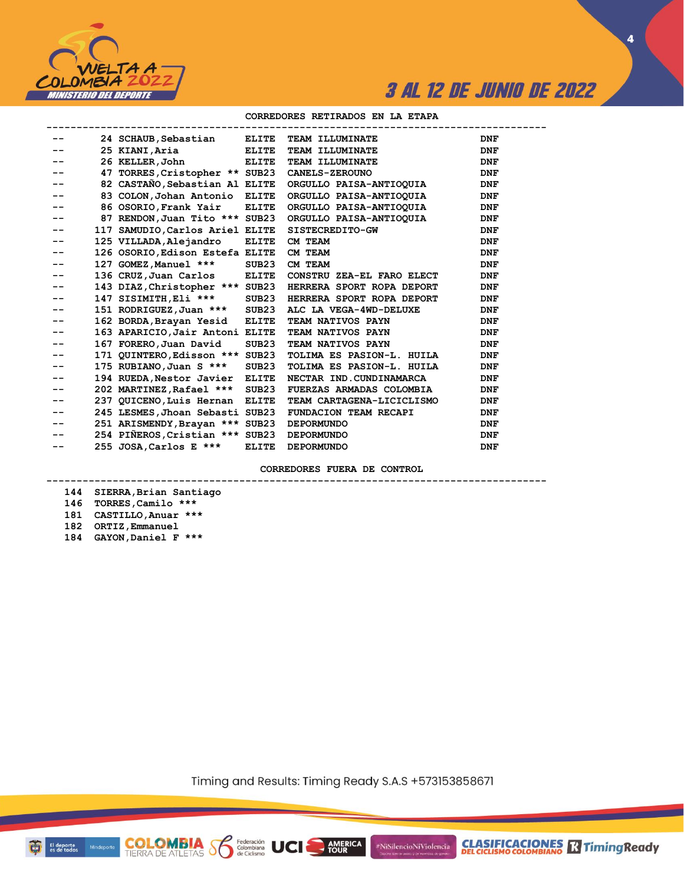

**4**

#### **CORREDORES RETIRADOS EN LA ETAPA**

|    | 24 SCHAUB, Sebastian            |                   | ELITE TEAM ILLUMINATE                                     | <b>DNF</b>     |
|----|---------------------------------|-------------------|-----------------------------------------------------------|----------------|
|    | 25 KIANI, Aria                  | <b>ELITE</b>      | TEAM ILLUMINATE                                           | <b>DNF</b>     |
|    | 26 KELLER, John                 | <b>ELITE</b>      | TEAM ILLUMINATE                                           | <b>DNF</b>     |
|    | 47 TORRES, Cristopher ** SUB23  |                   | <b>CANELS-ZEROUNO</b>                                     | <b>DNF</b>     |
|    | 82 CASTAÑO, Sebastian Al ELITE  |                   | ORGULLO PAISA-ANTIOQUIA                                   | <b>DNF</b>     |
|    | 83 COLON, Johan Antonio         | <b>ELITE</b>      | ORGULLO PAISA-ANTIOQUIA                                   | <b>DNF</b>     |
|    | 86 OSORIO, Frank Yair           | <b>ELITE</b>      | ORGULLO PAISA-ANTIOQUIA                                   | <b>DNF</b>     |
|    | 87 RENDON, Juan Tito *** SUB23  |                   | ORGULLO PAISA-ANTIOQUIA                                   | <b>DNF</b>     |
|    | 117 SAMUDIO, Carlos Ariel ELITE |                   | SISTECREDITO-GW                                           | <b>DNF</b>     |
|    | 125 VILLADA, Alejandro          | <b>ELITE</b>      | CM TEAM                                                   | <b>DNF</b>     |
|    | 126 OSORIO, Edison Estefa ELITE |                   | CM TEAM                                                   | <b>DNF</b>     |
| -- | 127 GOMEZ, Manuel ***           | SUB23             | CM TEAM                                                   | <b>DNF</b>     |
| -- | 136 CRUZ,Juan Carlos            | <b>ELITE</b>      | CONSTRU ZEA-EL FARO ELECT                                 | $\mathbf{DNF}$ |
|    |                                 |                   | 143 DIAZ, Christopher *** SUB23 HERRERA SPORT ROPA DEPORT | <b>DNF</b>     |
|    | 147 SISIMITH, Eli ***           | SUB23             | HERRERA SPORT ROPA DEPORT                                 | <b>DNF</b>     |
|    | 151 RODRIGUEZ, Juan ***         | SUB23             | ALC LA VEGA-4WD-DELUXE                                    | <b>DNF</b>     |
|    | 162 BORDA, Brayan Yesid         | <b>ELITE</b>      | TEAM NATIVOS PAYN                                         | <b>DNF</b>     |
|    | 163 APARICIO, Jair Antoni ELITE |                   | TEAM NATIVOS PAYN                                         | <b>DNF</b>     |
| -- | 167 FORERO, Juan David          | SUB <sub>23</sub> | TEAM NATIVOS PAYN                                         | <b>DNF</b>     |
|    | 171 QUINTERO, Edisson *** SUB23 |                   | TOLIMA ES PASION-L. HUILA                                 | <b>DNF</b>     |
|    | 175 RUBIANO, Juan S ***         | SUB23             | TOLIMA ES PASION-L. HUILA                                 | <b>DNF</b>     |
|    | 194 RUEDA, Nestor Javier        | <b>ELITE</b>      | NECTAR IND. CUNDINAMARCA                                  | <b>DNF</b>     |
|    | 202 MARTINEZ, Rafael ***        | SUB <sub>23</sub> | FUERZAS ARMADAS COLOMBIA                                  | <b>DNF</b>     |
|    | 237 QUICENO, Luis Hernan        | <b>ELITE</b>      | TEAM CARTAGENA-LICICLISMO                                 | <b>DNF</b>     |
|    | 245 LESMES, Jhoan Sebasti SUB23 |                   | FUNDACION TEAM RECAPI                                     | <b>DNF</b>     |
|    | 251 ARISMENDY, Brayan *** SUB23 |                   | <b>DEPORMUNDO</b>                                         | <b>DNF</b>     |
|    | 254 PIÑEROS, Cristian *** SUB23 |                   | <b>DEPORMUNDO</b>                                         | <b>DNF</b>     |
|    | 255 JOSA, Carlos E ***          | <b>ELITE</b>      | <b>DEPORMUNDO</b>                                         | <b>DNF</b>     |

**-----------------------------------------------------------------------------------**

**CORREDORES FUERA DE CONTROL**

#### **144 SIERRA,Brian Santiago 146 TORRES,Camilo \*\*\***

- **181 CASTILLO,Anuar \*\*\***
- **182 ORTIZ,Emmanuel**
- **184 GAYON,Daniel F \*\*\***

Timing and Results: Timing Ready S.A.S +573153858671

AMERICA

#NiSilencioNiViolencia

**COLOMBIA Seleración** UCI

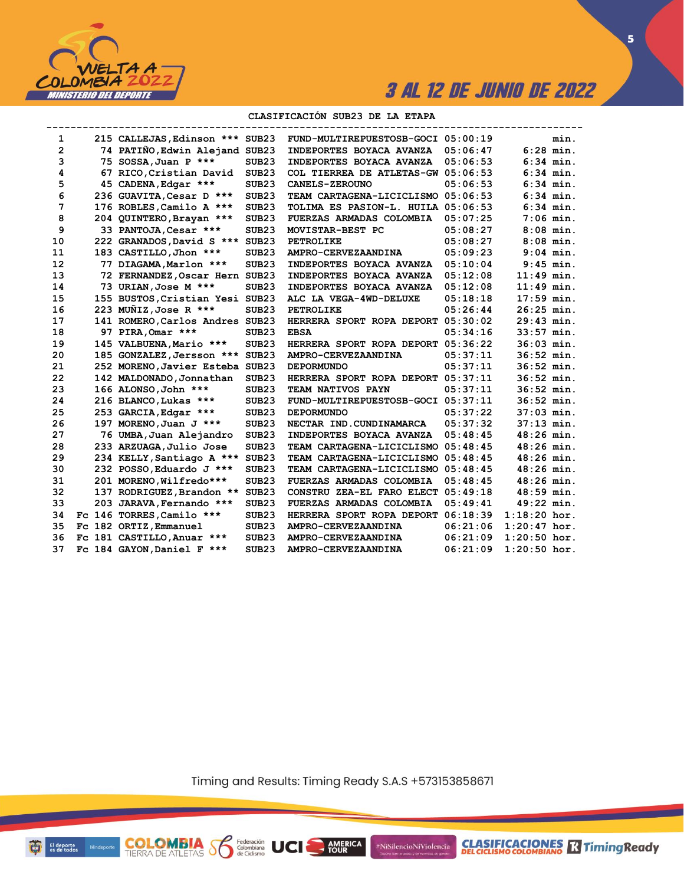

**CLASIFICACIONES** TimingReady

**5**

#### **CLASIFICACIÓN SUB23 DE LA ETAPA**

| 1              | 215 CALLEJAS, Edinson *** SUB23 |                   | FUND-MULTIREPUESTOSB-GOCI 05:00:19 |          |                | min. |
|----------------|---------------------------------|-------------------|------------------------------------|----------|----------------|------|
| $\overline{2}$ | 74 PATIÑO, Edwin Alejand SUB23  |                   | INDEPORTES BOYACA AVANZA           | 05:06:47 | $6:28$ min.    |      |
| 3              | 75 SOSSA, Juan P ***            | SUB <sub>23</sub> | INDEPORTES BOYACA AVANZA           | 05:06:53 | $6:34$ min.    |      |
| 4              | 67 RICO, Cristian David         | SUB <sub>23</sub> | COL TIERREA DE ATLETAS-GW 05:06:53 |          | $6:34$ min.    |      |
| 5              | 45 CADENA, Edgar ***            | SUB <sub>23</sub> | <b>CANELS-ZEROUNO</b>              | 05:06:53 | $6:34$ min.    |      |
| 6              | 236 GUAVITA, Cesar D ***        | SUB <sub>23</sub> | TEAM CARTAGENA-LICICLISMO 05:06:53 |          | $6:34$ min.    |      |
| 7              | 176 ROBLES, Camilo A ***        | SUB <sub>23</sub> | TOLIMA ES PASION-L. HUILA 05:06:53 |          | $6:34$ min.    |      |
| 8              | 204 QUINTERO, Brayan ***        | SUB <sub>23</sub> | FUERZAS ARMADAS COLOMBIA           | 05:07:25 | $7:06$ min.    |      |
| 9              | 33 PANTOJA, Cesar ***           | SUB <sub>23</sub> | MOVISTAR-BEST PC                   | 05:08:27 | $8:08$ min.    |      |
| 10             | 222 GRANADOS, David S ***       | SUB <sub>23</sub> | PETROLIKE                          | 05:08:27 | $8:08$ min.    |      |
| 11             | 183 CASTILLO, Jhon ***          | SUB <sub>23</sub> | AMPRO-CERVEZAANDINA                | 05:09:23 | $9:04$ min.    |      |
| 12             | 77 DIAGAMA, Marlon ***          | SUB <sub>23</sub> | INDEPORTES BOYACA AVANZA           | 05:10:04 | $9:45$ min.    |      |
| 13             | 72 FERNANDEZ, Oscar Hern SUB23  |                   | INDEPORTES BOYACA AVANZA           | 05:12:08 | $11:49$ min.   |      |
| 14             | 73 URIAN, Jose M ***            | SUB <sub>23</sub> | INDEPORTES BOYACA AVANZA           | 05:12:08 | $11:49$ min.   |      |
| 15             | 155 BUSTOS, Cristian Yesi SUB23 |                   | ALC LA VEGA-4WD-DELUXE             | 05:18:18 | $17:59$ min.   |      |
| 16             | 223 MUNIZ, Jose R ***           | SUB <sub>23</sub> | <b>PETROLIKE</b>                   | 05:26:44 | $26:25$ min.   |      |
| 17             | 141 ROMERO, Carlos Andres SUB23 |                   | HERRERA SPORT ROPA DEPORT          | 05:30:02 | 29:43 min.     |      |
| 18             | 97 PIRA, Omar ***               | SUB <sub>23</sub> | <b>EBSA</b>                        | 05:34:16 | $33:57$ min.   |      |
| 19             | 145 VALBUENA, Mario ***         | SUB <sub>23</sub> | HERRERA SPORT ROPA DEPORT          | 05:36:22 | 36:03 min.     |      |
| 20             | 185 GONZALEZ, Jersson ***       | SUB <sub>23</sub> | AMPRO-CERVEZAANDINA                | 05:37:11 | $36:52$ min.   |      |
| 21             | 252 MORENO, Javier Esteba SUB23 |                   | <b>DEPORMUNDO</b>                  | 05:37:11 | $36:52$ min.   |      |
| 22             | 142 MALDONADO, Jonnathan        | SUB23             | HERRERA SPORT ROPA DEPORT          | 05:37:11 | 36:52 min.     |      |
| 23             | 166 ALONSO, John ***            | SUB <sub>23</sub> | <b>TEAM NATIVOS PAYN</b>           | 05:37:11 | $36:52$ min.   |      |
| 24             | 216 BLANCO, Lukas ***           | SUB <sub>23</sub> | <b>FUND-MULTIREPUESTOSB-GOCI</b>   | 05:37:11 | $36:52$ min.   |      |
| 25             | 253 GARCIA, Edgar ***           | SUB <sub>23</sub> | <b>DEPORMUNDO</b>                  | 05:37:22 | $37:03$ min.   |      |
| 26             | 197 MORENO, Juan J ***          | SUB <sub>23</sub> | NECTAR IND.CUNDINAMARCA            | 05:37:32 | $37:13$ min.   |      |
| 27             | 76 UMBA, Juan Alejandro         | SUB <sub>23</sub> | INDEPORTES BOYACA AVANZA           | 05:48:45 | $48:26$ min.   |      |
| 28             | 233 ARZUAGA, Julio Jose         | SUB <sub>23</sub> | TEAM CARTAGENA-LICICLISMO          | 05:48:45 | $48:26$ min.   |      |
| 29             | 234 KELLY, Santiago A ***       | SUB <sub>23</sub> | TEAM CARTAGENA-LICICLISMO          | 05:48:45 | $48:26$ min.   |      |
| 30             | 232 POSSO, Eduardo J ***        | SUB <sub>23</sub> | TEAM CARTAGENA-LICICLISMO 05:48:45 |          | $48:26$ min.   |      |
| 31             | 201 MORENO, Wilfredo***         | SUB <sub>23</sub> | FUERZAS ARMADAS COLOMBIA           | 05:48:45 | $48:26$ min.   |      |
| 32             | 137 RODRIGUEZ, Brandon ** SUB23 |                   | CONSTRU ZEA-EL FARO ELECT          | 05:49:18 | $48:59$ min.   |      |
| 33             | 203 JARAVA, Fernando ***        | SUB23             | <b>FUERZAS ARMADAS COLOMBIA</b>    | 05:49:41 | $49:22$ min.   |      |
| 34             | Fc 146 TORRES, Camilo ***       | SUB <sub>23</sub> | HERRERA SPORT ROPA DEPORT          | 06:18:39 | $1:18:20$ hor. |      |
| 35             | Fc 182 ORTIZ, Emmanuel          | SUB <sub>23</sub> | AMPRO-CERVEZAANDINA                | 06:21:06 | $1:20:47$ hor. |      |
| 36             | Fc 181 CASTILLO, Anuar ***      | SUB <sub>23</sub> | AMPRO-CERVEZAANDINA                | 06:21:09 | $1:20:50$ hor. |      |
| 37             | Fc 184 GAYON, Daniel F ***      | SUB <sub>23</sub> | AMPRO-CERVEZAANDINA                | 06:21:09 | $1:20:50$ hor. |      |

Timing and Results: Timing Ready S.A.S +573153858671

AMERICA

#NiSilencioNiViolencia

El deporte<br>es de todos Mindeporte Đ

**COLOMBIA SP** 

Federación<br>Colombiana<br>de Ciclismo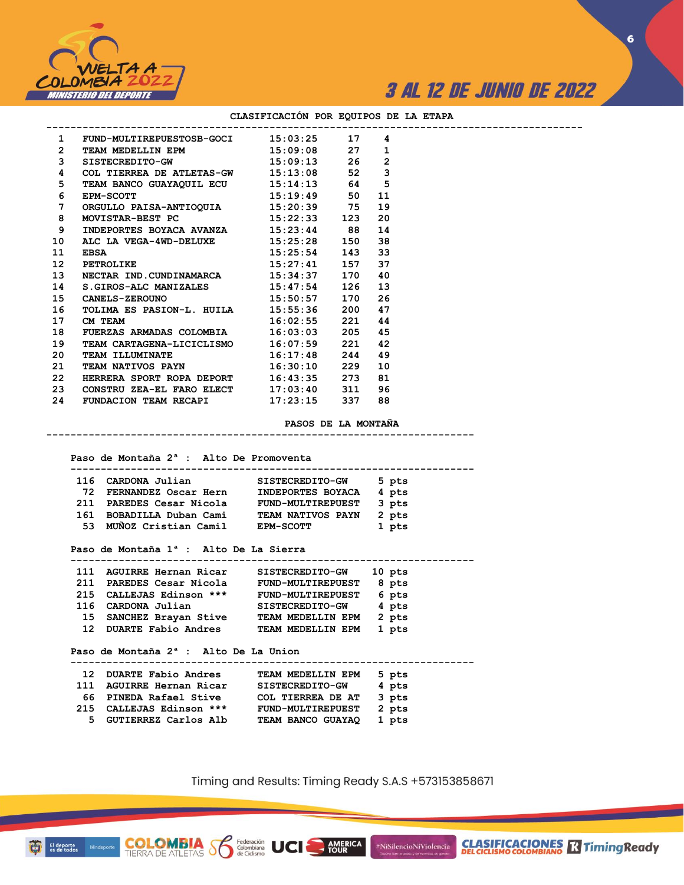

 **-------------------------------------------------------------------**

**6**

|                         | 1 FUND-MULTIREPUESTOSB-GOCI 15:03:25 17 4                                     |                     |      |  |
|-------------------------|-------------------------------------------------------------------------------|---------------------|------|--|
|                         | 2 TEAM MEDELLIN EPM 15:09:08 27                                               |                     | 1    |  |
|                         | 3 SISTECREDITO-GW 15:09:13 26                                                 |                     | 2    |  |
| $\overline{\mathbf{4}}$ |                                                                               |                     | 3    |  |
| 5                       | COL TIERREA DE ATLETAS-GW 15:13:08 52<br>TEAM BANCO GUAYAQUIL ECU 15:14:13 64 |                     | 5    |  |
| 6                       | $15:19:49$ 50<br><b>EPM-SCOTT</b>                                             |                     | - 11 |  |
| $7^{\circ}$             | ORGULLO PAISA-ANTIOQUIA 15:20:39 75                                           |                     | 19   |  |
| 8                       | MOVISTAR-BEST PC 15:22:33 123                                                 |                     | - 20 |  |
| 9                       | INDEPORTES BOYACA AVANZA 15:23:44 88                                          |                     | 14   |  |
|                         | 10 ALC LA VEGA-4WD-DELUXE 15:25:28 150                                        |                     | 38   |  |
| 11                      | <b>EBSA</b>                                                                   | $15:25:54$ 143 33   |      |  |
| 12 <sup>2</sup>         | eda <del>n</del><br>PETROLIKE                                                 | 15:27:41 157 37     |      |  |
| 13 <sup>7</sup>         | NECTAR IND.CUNDINAMARCA 15:34:37 170 40                                       |                     |      |  |
| 14                      | S.GIROS-ALC MANIZALES 15:47:54 126 13                                         |                     |      |  |
|                         | 15 CANELS-ZEROUNO 15:50:57 170 26                                             |                     |      |  |
| 16                      | TOLIMA ES PASION-L. HUILA 15:55:36 200                                        |                     | 47   |  |
| 17                      | CM TEAM                                                                       | $16:02:55$ 221      | 44   |  |
| 18                      | FUERZAS ARMADAS COLOMBIA 16:03:03 205 45                                      |                     |      |  |
|                         | 19 TEAM CARTAGENA-LICICLISMO 16:07:59 221 42                                  |                     |      |  |
|                         | 20 TEAM ILLUMINATE 16:17:48 244 49                                            |                     |      |  |
|                         | 21 TEAM NATIVOS PAYN                                                          | $16:30:10$ 229 10   |      |  |
|                         | 22 HERRERA SPORT ROPA DEPORT 16:43:35 273 81                                  |                     |      |  |
|                         | 23  CONSTRU ZEA-EL FARO ELECT  17:03:40  311  96                              |                     |      |  |
|                         | 24 FUNDACION TEAM RECAPI 17:23:15 337 88                                      |                     |      |  |
|                         |                                                                               | PASOS DE LA MONTAÑA |      |  |
|                         |                                                                               |                     |      |  |
|                         | Paso de Montaña 2 <sup>ª</sup> : Alto De Promoventa                           |                     |      |  |
|                         | 116 CARDONA Julian SISTECREDITO-GW 5 pts                                      |                     |      |  |
|                         | 72 FERNANDEZ Oscar Hern INDEPORTES BOYACA 4 pts                               |                     |      |  |
|                         | 211 DADFORC Cosse Nicols FUND-MUITTIDEDUFCT 3 pts                             |                     |      |  |

#### **CLASIFICACIÓN POR EQUIPOS DE LA ETAPA**

| 116 | CARDONA Julian          | SISTECREDITO-GW          | 5 pts |
|-----|-------------------------|--------------------------|-------|
| 72. | FERNANDEZ Oscar Hern    | INDEPORTES BOYACA        | 4 pts |
| 211 | PAREDES Cesar Nicola    | <b>FUND-MULTIREPUEST</b> | 3 pts |
| 161 | BOBADILLA Duban Cami    | TEAM NATIVOS PAYN        | 2 pts |
|     | 53 MUÑOZ Cristian Camil | <b>EPM-SCOTT</b>         | 1 pts |

#### **Paso de Montaña 1ª : Alto De La Sierra**

| 111             | AGUIRRE Hernan Ricar       | SISTECREDITO-GW   | 10 pts |
|-----------------|----------------------------|-------------------|--------|
| 211             | PAREDES Cesar Nicola       | FUND-MULTIREPUEST | 8 pts  |
|                 | 215 CALLEJAS Edinson ***   | FUND-MULTIREPUEST | 6 pts  |
|                 | 116 CARDONA Julian         | SISTECREDITO-GW   | 4 pts  |
| 15              | SANCHEZ Brayan Stive       | TEAM MEDELLIN EPM | 2 pts  |
| 12 <sup>7</sup> | <b>DUARTE Fabio Andres</b> | TEAM MEDELLIN EPM | 1 pts  |
|                 |                            |                   |        |

 **Paso de Montaña 2ª : Alto De La Union**

**COLOMBIA**<br>TIERRA DE ATLETAS **S** Se Ciclismo

|    | 12 DUARTE Fabio Andres   | TEAM MEDELLIN EPM        | 5 pts |  |
|----|--------------------------|--------------------------|-------|--|
|    | 111 AGUIRRE Hernan Ricar | SISTECREDITO-GW          | 4 pts |  |
|    | 66 PINEDA Rafael Stive   | COL TIERREA DE AT        | 3 pts |  |
|    | 215 CALLEJAS Edinson *** | <b>FUND-MULTIREPUEST</b> | 2 pts |  |
| 5. | GUTIERREZ Carlos Alb     | TEAM BANCO GUAYAQ        | 1 pts |  |

Timing and Results: Timing Ready S.A.S +573153858671

**AMERICA**<br>TOUR

#NiSilencioNiViolencia

**CLASIFICACIONES R** Timing Ready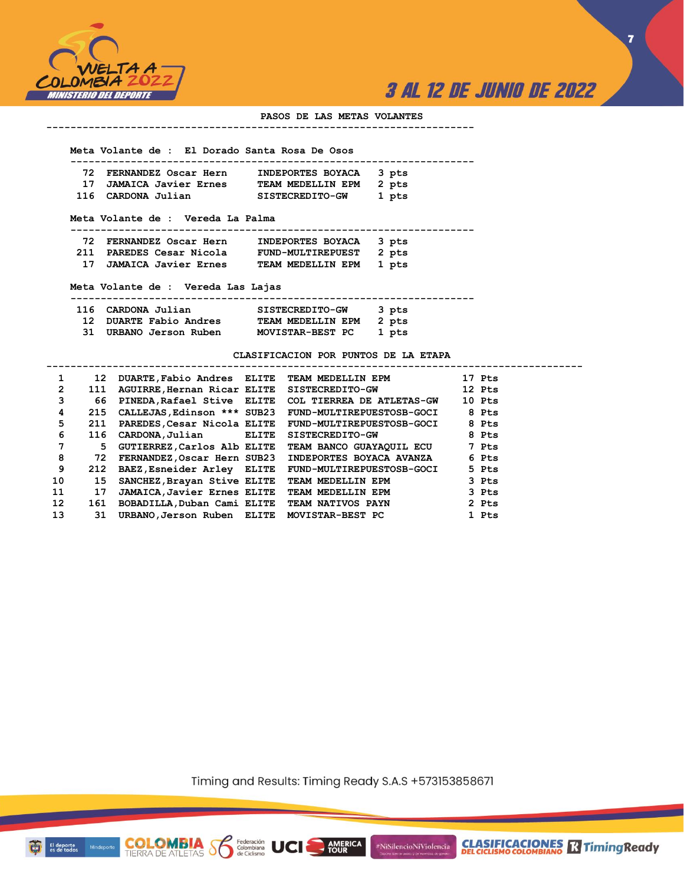

**7**

#### **PASOS DE LAS METAS VOLANTES**

#### **-----------------------------------------------------------------------**

 **Meta Volante de : El Dorado Santa Rosa De Osos**

| 72 FERNANDEZ Oscar Hern | INDEPORTES BOYACA 3 pts |       |
|-------------------------|-------------------------|-------|
| 17 JAMAICA Javier Ernes | TEAM MEDELLIN EPM 2 pts |       |
| 116 CARDONA Julian      | SISTECREDITO-GW         | 1 pts |

 **Meta Volante de : Vereda La Palma**

 **-------------------------------------------------------------------**

| 72 FERNANDEZ Oscar Hern  | INDEPORTES BOYACA        | 3 pts |
|--------------------------|--------------------------|-------|
| 211 PAREDES Cesar Nicola | <b>FUND-MULTIREPUEST</b> | 2 pts |
| JAMAICA Javier Ernes     | TEAM MEDELLIN EPM        | 1 pts |

 **31 URBANO Jerson Ruben MOVISTAR-BEST PC 1 pts** 

 **Meta Volante de : Vereda Las Lajas**

**COLOMBIA**<br>TIERRA DE ATLETAS **Solombiana** 

| 116 CARDONA Julian     | <b>SISTECREDITO-GW</b>  | 3 pts |
|------------------------|-------------------------|-------|
| 12 DUARTE Fabio Andres | TEAM MEDELLIN EPM 2 pts |       |

**CLASIFICACION POR PUNTOS DE LA ETAPA**

| 1                    | 12  |                                             |       | DUARTE, Fabio Andres ELITE TEAM MEDELLIN EPM             | 17 Pts |
|----------------------|-----|---------------------------------------------|-------|----------------------------------------------------------|--------|
| $\mathbf{2}^{\circ}$ | 111 |                                             |       | AGUIRRE, Hernan Ricar ELITE SISTECREDITO-GW              | 12 Pts |
| 3                    | 66  |                                             |       | PINEDA, Rafael Stive ELITE COL TIERREA DE ATLETAS-GW     | 10 Pts |
| 4                    | 215 | CALLEJAS, Edinson *** SUB23                 |       | <b>FUND-MULTIREPUESTOSB-GOCI</b>                         | 8 Pts  |
| 5.                   | 211 |                                             |       | PAREDES, Cesar Nicola ELITE    FUND-MULTIREPUESTOSB-GOCI | 8 Pts  |
| 6                    | 116 | CARDONA, Julian                             | ELITE | <b>SISTECREDITO-GW</b>                                   | 8 Pts  |
| 7                    | 5.  | GUTIERREZ, Carlos Alb ELITE                 |       | TEAM BANCO GUAYAQUIL ECU                                 | 7 Pts  |
| 8                    | 72  | FERNANDEZ, Oscar Hern SUB23                 |       | INDEPORTES BOYACA AVANZA                                 | 6 Pts  |
| 9                    | 212 |                                             |       | BAEZ, Esneider Arley ELITE FUND-MULTIREPUESTOSB-GOCI     | 5 Pts  |
| 10                   | 15  | SANCHEZ, Brayan Stive ELITE                 |       | TEAM MEDELLIN EPM                                        | 3 Pts  |
| 11                   | 17  | <b>JAMAICA, Javier Ernes ELITE</b>          |       | TEAM MEDELLIN EPM                                        | 3 Pts  |
| 12 <sup>2</sup>      | 161 |                                             |       | BOBADILLA,Duban Cami ELITE TEAM NATIVOS PAYN             | 2 Pts  |
| 13                   | 31  | URBANO, Jerson Ruben ELITE MOVISTAR-BEST PC |       |                                                          | 1 Pts  |
|                      |     |                                             |       |                                                          |        |

Timing and Results: Timing Ready S.A.S +573153858671

**AMERICA** 

#NiSilencioNiViolencia



Minde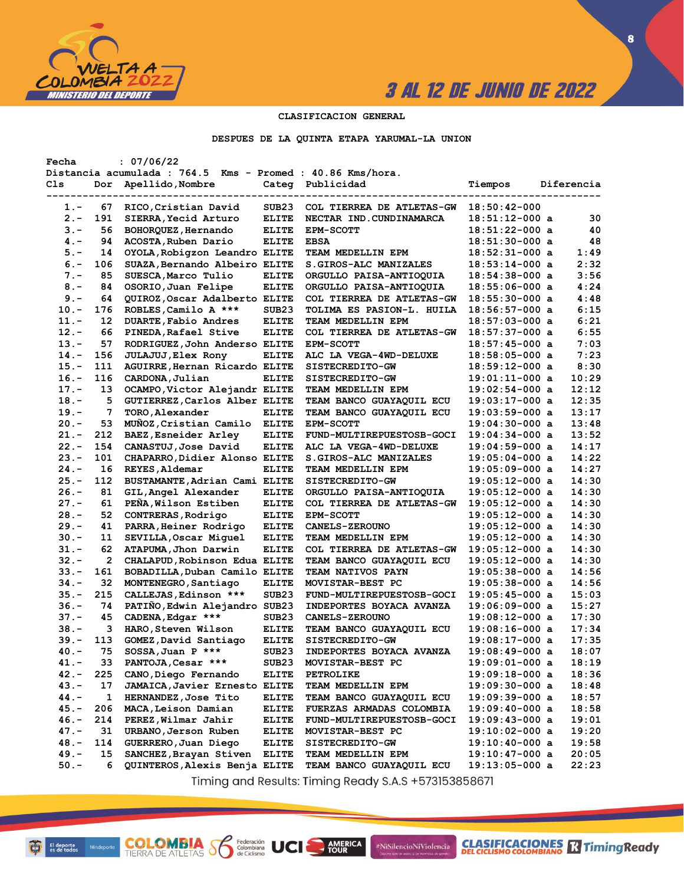

**8**

#### **CLASIFICACION GENERAL**

**DESPUES DE LA QUINTA ETAPA YARUMAL-LA UNION**

| Fecha   |     | : 07/06/22                                                 |                   |                                  |                  |            |
|---------|-----|------------------------------------------------------------|-------------------|----------------------------------|------------------|------------|
|         |     | Distancia acumulada : 764.5 Kms - Promed : 40.86 Kms/hora. |                   |                                  |                  |            |
| Cls     | Dor | Apellido, Nombre                                           | Categ             | Publicidad                       | Tiempos          | Diferencia |
|         |     |                                                            |                   |                                  |                  |            |
| 1.-     | 67  | RICO, Cristian David                                       | SUB <sub>23</sub> | COL TIERREA DE ATLETAS-GW        | $18:50:42-000$   |            |
| $2 -$   | 191 | <b>SIERRA, Yecid Arturo</b>                                | <b>ELITE</b>      | NECTAR IND. CUNDINAMARCA         | $18:51:12-000$ a | 30         |
| $3 -$   | 56  | BOHORQUEZ, Hernando                                        | <b>ELITE</b>      | <b>EPM-SCOTT</b>                 | $18:51:22-000$ a | 40         |
| $4 -$   | 94  | ACOSTA, Ruben Dario                                        | <b>ELITE</b>      | <b>EBSA</b>                      | $18:51:30-000$ a | 48         |
| $5. -$  | 14  | OYOLA, Robigzon Leandro ELITE                              |                   | TEAM MEDELLIN EPM                | $18:52:31-000$ a | 1:49       |
| $6. -$  | 106 | SUAZA, Bernando Albeiro ELITE                              |                   | <b>S.GIROS-ALC MANIZALES</b>     | $18:53:14-000$ a | 2:32       |
| $7. -$  | 85  | SUESCA, Marco Tulio                                        | <b>ELITE</b>      | ORGULLO PAISA-ANTIOQUIA          | $18:54:38-000$ a | 3:56       |
| $8 -$   | 84  | OSORIO, Juan Felipe                                        | <b>ELITE</b>      | ORGULLO PAISA-ANTIOQUIA          | 18:55:06-000 a   | 4:24       |
| $9 -$   | 64  | QUIROZ, Oscar Adalberto ELITE                              |                   | <b>COL TIERREA DE ATLETAS-GW</b> | $18:55:30-000$ a | 4:48       |
| $10. -$ | 176 | ROBLES, Camilo A ***                                       | SUB <sub>23</sub> | TOLIMA ES PASION-L. HUILA        | $18:56:57-000$ a | 6:15       |
| 11.-    | 12  | DUARTE, Fabio Andres                                       | <b>ELITE</b>      | TEAM MEDELLIN EPM                | $18:57:03-000$ a | 6:21       |
|         |     |                                                            |                   |                                  |                  |            |
| $12 -$  | 66  | PINEDA, Rafael Stive                                       | <b>ELITE</b>      | <b>COL TIERREA DE ATLETAS-GW</b> | $18:57:37-000$ a | 6:55       |
| $13 -$  | 57  | RODRIGUEZ, John Anderso ELITE                              |                   | <b>EPM-SCOTT</b>                 | 18:57:45-000 a   | 7:03       |
| $14. -$ | 156 | <b>JULAJUJ, Elex Rony</b>                                  | <b>ELITE</b>      | ALC LA VEGA-4WD-DELUXE           | 18:58:05-000 a   | 7:23       |
| $15. -$ | 111 | AGUIRRE, Hernan Ricardo ELITE                              |                   | <b>SISTECREDITO-GW</b>           | 18:59:12-000 a   | 8:30       |
| $16. -$ | 116 | CARDONA, Julian                                            | <b>ELITE</b>      | <b>SISTECREDITO-GW</b>           | $19:01:11-000$ a | 10:29      |
| $17. -$ | 13  | OCAMPO, Victor Alejandr ELITE                              |                   | TEAM MEDELLIN EPM                | $19:02:54-000$ a | 12:12      |
| $18. -$ | 5   | GUTIERREZ, Carlos Alber ELITE                              |                   | <b>TEAM BANCO GUAYAQUIL ECU</b>  | $19:03:17-000$ a | 12:35      |
| $19. -$ | 7   | TORO, Alexander                                            | <b>ELITE</b>      | <b>TEAM BANCO GUAYAQUIL ECU</b>  | $19:03:59-000$ a | 13:17      |
| $20 -$  | 53  | MUÑOZ, Cristian Camilo                                     | <b>ELITE</b>      | <b>EPM-SCOTT</b>                 | $19:04:30-000$ a | 13:48      |
| $21 -$  | 212 | BAEZ, Esneider Arley                                       | <b>ELITE</b>      | FUND-MULTIREPUESTOSB-GOCI        | $19:04:34-000$ a | 13:52      |
| $22 -$  | 154 | CANASTUJ, Jose David                                       | <b>ELITE</b>      | ALC LA VEGA-4WD-DELUXE           | 19:04:59-000 a   | 14:17      |
| $23 -$  | 101 | CHAPARRO, Didier Alonso ELITE                              |                   | <b>S.GIROS-ALC MANIZALES</b>     | $19:05:04-000$ a | 14:22      |
| $24. -$ | 16  | REYES, Aldemar                                             | <b>ELITE</b>      | TEAM MEDELLIN EPM                | $19:05:09-000$ a | 14:27      |
| $25. -$ | 112 | BUSTAMANTE, Adrian Cami ELITE                              |                   | <b>SISTECREDITO-GW</b>           | $19:05:12-000$ a | 14:30      |
| $26. -$ | 81  | GIL, Angel Alexander                                       | <b>ELITE</b>      | ORGULLO PAISA-ANTIOQUIA          | $19:05:12-000$ a | 14:30      |
| $27. -$ | 61  | PEÑA, Wilson Estiben                                       | <b>ELITE</b>      | <b>COL TIERREA DE ATLETAS-GW</b> | $19:05:12-000$ a | 14:30      |
| $28. -$ | 52  | CONTRERAS, Rodrigo                                         | <b>ELITE</b>      | <b>EPM-SCOTT</b>                 | 19:05:12-000 a   | 14:30      |
| $29. -$ | 41  | PARRA, Heiner Rodrigo                                      | <b>ELITE</b>      | <b>CANELS-ZEROUNO</b>            | $19:05:12-000$ a | 14:30      |
| $30 -$  | 11  | SEVILLA, Oscar Miquel                                      | <b>ELITE</b>      | TEAM MEDELLIN EPM                | $19:05:12-000$ a | 14:30      |
| 31.-    | 62  | ATAPUMA, Jhon Darwin                                       | <b>ELITE</b>      | COL TIERREA DE ATLETAS-GW        | $19:05:12-000$ a | 14:30      |
| $32 -$  | 2   | CHALAPUD, Robinson Edua ELITE                              |                   |                                  |                  | 14:30      |
|         |     | BOBADILLA, Duban Camilo ELITE                              |                   | TEAM BANCO GUAYAQUIL ECU         | $19:05:12-000$ a | 14:56      |
| $33 -$  | 161 |                                                            |                   | <b>TEAM NATIVOS PAYN</b>         | $19:05:38-000$ a | 14:56      |
| $34. -$ | 32  | MONTENEGRO, Santiago                                       | <b>ELITE</b>      | MOVISTAR-BEST PC                 | $19:05:38-000$ a |            |
| $35. -$ | 215 | CALLEJAS, Edinson ***                                      | SUB <sub>23</sub> | FUND-MULTIREPUESTOSB-GOCI        | 19:05:45-000 a   | 15:03      |
| 36.-    | 74  | PATIÑO, Edwin Alejandro SUB23                              |                   | INDEPORTES BOYACA AVANZA         | $19:06:09-000$ a | 15:27      |
| $37. -$ | 45  | CADENA, Edgar ***                                          | SUB <sub>23</sub> | <b>CANELS-ZEROUNO</b>            | $19:08:12-000$ a | 17:30      |
| $38 -$  | з   | HARO, Steven Wilson                                        | <b>ELITE</b>      | <b>TEAM BANCO GUAYAQUIL ECU</b>  | $19:08:16-000$ a | 17:34      |
| $39. -$ | 113 | GOMEZ, David Santiago                                      | <b>ELITE</b>      | <b>SISTECREDITO-GW</b>           | $19:08:17-000$ a | 17:35      |
| 40.-    | 75  | SOSSA, Juan P ***                                          | SUB <sub>23</sub> | <b>INDEPORTES BOYACA AVANZA</b>  | 19:08:49-000 a   | 18:07      |
| $41. -$ | 33  | PANTOJA, Cesar ***                                         | SUB23             | MOVISTAR-BEST PC                 | $19:09:01-000$ a | 18:19      |
| $42 -$  | 225 | CANO, Diego Fernando                                       | <b>ELITE</b>      | <b>PETROLIKE</b>                 | $19:09:18-000$ a | 18:36      |
| $43. -$ | 17  | JAMAICA, Javier Ernesto ELITE                              |                   | TEAM MEDELLIN EPM                | $19:09:30-000$ a | 18:48      |
| 44.-    | 1   | HERNANDEZ, Jose Tito                                       | <b>ELITE</b>      | TEAM BANCO GUAYAQUIL ECU         | $19:09:39-000$ a | 18:57      |
| 45.-    | 206 | MACA, Leison Damian                                        | <b>ELITE</b>      | FUERZAS ARMADAS COLOMBIA         | $19:09:40-000$ a | 18:58      |
| $46. -$ | 214 | PEREZ, Wilmar Jahir                                        | <b>ELITE</b>      | FUND-MULTIREPUESTOSB-GOCI        | $19:09:43-000$ a | 19:01      |
| $47. -$ | 31  | URBANO, Jerson Ruben                                       | <b>ELITE</b>      | MOVISTAR-BEST PC                 | $19:10:02-000$ a | 19:20      |
| $48. -$ | 114 | GUERRERO, Juan Diego                                       | <b>ELITE</b>      | <b>SISTECREDITO-GW</b>           | $19:10:40-000$ a | 19:58      |
| $49. -$ | 15  | SANCHEZ, Brayan Stiven                                     | <b>ELITE</b>      | TEAM MEDELLIN EPM                | $19:10:47-000$ a | 20:05      |
| $50. -$ | 6   | QUINTEROS, Alexis Benja ELITE                              |                   | TEAM BANCO GUAYAQUIL ECU         | $19:13:05-000$ a | 22:23      |
|         |     |                                                            |                   |                                  |                  |            |

Timing and Results: Timing Ready S.A.S +573153858671

AMERICA

#NiSilencioNiViolencia

**COLOMBIA S6** 

Federación<br>Colombiana<br>de Ciclismo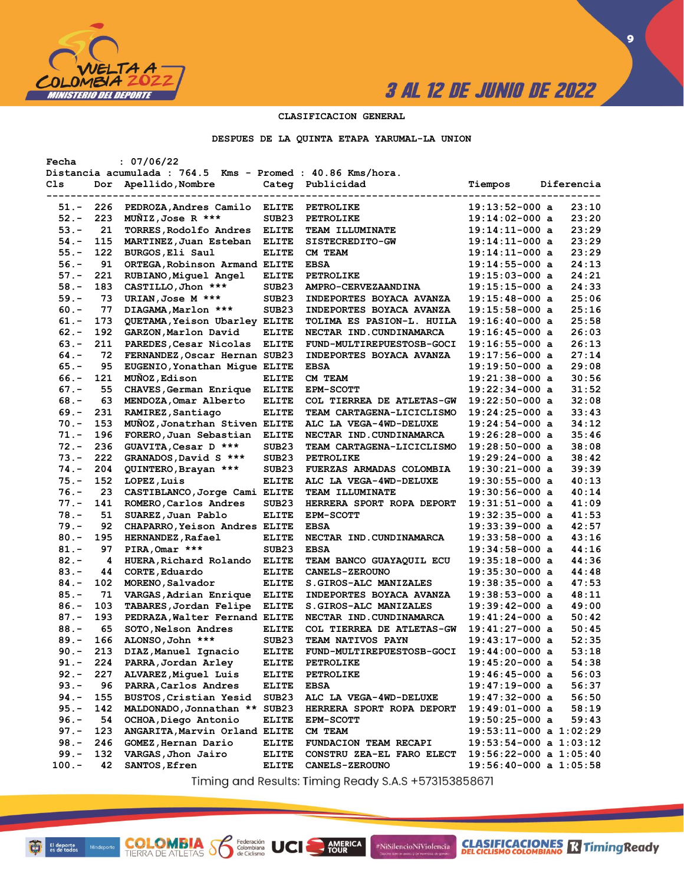

**9**

#### **CLASIFICACION GENERAL**

#### **DESPUES DE LA QUINTA ETAPA YARUMAL-LA UNION**

| Fecha    |           | : 07/06/22                                                 |                   |                              |                            |            |
|----------|-----------|------------------------------------------------------------|-------------------|------------------------------|----------------------------|------------|
|          |           | Distancia acumulada : 764.5 Kms - Promed : 40.86 Kms/hora. |                   |                              |                            |            |
| Cls      | Dor       | Apellido, Nombre                                           | Categ             | Publicidad                   | Tiempos                    | Diferencia |
|          |           |                                                            |                   |                              |                            |            |
| $51. -$  | 226       | PEDROZA, Andres Camilo                                     | <b>ELITE</b>      | <b>PETROLIKE</b>             | $19:13:52-000$ a           | 23:10      |
| $52 -$   | 223       | MUNIZ, Jose R ***                                          | SUB <sub>23</sub> | <b>PETROLIKE</b>             | $19:14:02-000$ a           | 23:20      |
| $53. -$  | 21        | TORRES, Rodolfo Andres                                     | <b>ELITE</b>      | <b>TEAM ILLUMINATE</b>       | $19:14:11-000$ a           | 23:29      |
| $54. -$  | 115       | MARTINEZ, Juan Esteban                                     | <b>ELITE</b>      | SISTECREDITO-GW              | $19:14:11-000$ a           | 23:29      |
| $55. -$  | 122       | BURGOS, Eli Saul                                           | <b>ELITE</b>      | CM TEAM                      | $19:14:11-000$ a           | 23:29      |
| $56. -$  | 91        | ORTEGA, Robinson Armand ELITE                              |                   | <b>EBSA</b>                  | $19:14:55-000$ a           | 24:13      |
| $57. -$  | 221       | RUBIANO, Miquel Angel                                      | <b>ELITE</b>      | <b>PETROLIKE</b>             | $19:15:03-000$ a           | 24:21      |
| $58. -$  | 183       | CASTILLO, Jhon ***                                         | SUB <sub>23</sub> | <b>AMPRO-CERVEZAANDINA</b>   | $19:15:15-000$ a           | 24:33      |
| $59. -$  | 73        | URIAN, Jose M ***                                          | SUB <sub>23</sub> | INDEPORTES BOYACA AVANZA     | $19:15:48-000$ a           | 25:06      |
| $60 -$   | 77        | DIAGAMA, Marlon ***                                        | SUB <sub>23</sub> | INDEPORTES BOYACA AVANZA     | $19:15:58-000$ a           | 25:16      |
| $61. -$  | 173       | QUETAMA, Yeison Ubarley ELITE                              |                   | TOLIMA ES PASION-L. HUILA    | $19:16:40-000$ a           | 25:58      |
| $62 -$   | 192       |                                                            | <b>ELITE</b>      |                              |                            | 26:03      |
|          |           | GARZON, Marlon David                                       |                   | NECTAR IND.CUNDINAMARCA      | 19:16:45-000 a             |            |
| $63 -$   | 211       | PAREDES, Cesar Nicolas                                     | <b>ELITE</b>      | FUND-MULTIREPUESTOSB-GOCI    | $19:16:55-000$ a           | 26:13      |
| $64. -$  | 72        | FERNANDEZ, Oscar Hernan SUB23                              |                   | INDEPORTES BOYACA AVANZA     | 19:17:56-000 a             | 27:14      |
| $65. -$  | 95        | EUGENIO, Yonathan Mique ELITE                              |                   | <b>EBSA</b>                  | 19:19:50-000 a             | 29:08      |
| $66. -$  | 121       | MUÑOZ, Edison                                              | <b>ELITE</b>      | CM TEAM                      | 19:21:38-000 a             | 30:56      |
| $67. -$  | 55        | CHAVES, German Enrique                                     | <b>ELITE</b>      | <b>EPM-SCOTT</b>             | 19:22:34-000 a             | 31:52      |
| $68. -$  | 63        | MENDOZA, Omar Alberto                                      | <b>ELITE</b>      | COL TIERREA DE ATLETAS-GW    | $19:22:50-000$ a           | 32:08      |
| $69. -$  | 231       | RAMIREZ, Santiago                                          | <b>ELITE</b>      | TEAM CARTAGENA-LICICLISMO    | $19:24:25-000$ a           | 33:43      |
| $70. -$  | 153       | MUNOZ, Jonatrhan Stiven ELITE                              |                   | ALC LA VEGA-4WD-DELUXE       | $19:24:54-000$ a           | 34:12      |
| $71. -$  | 196       | FORERO, Juan Sebastian                                     | <b>ELITE</b>      | NECTAR IND.CUNDINAMARCA      | 19:26:28-000 a             | 35:46      |
| $72 -$   | 236       | GUAVITA, Cesar D ***                                       | SUB <sub>23</sub> | TEAM CARTAGENA-LICICLISMO    | $19:28:50-000$ a           | 38:08      |
| $73. -$  | 222       | GRANADOS, David S ***                                      | SUB23             | PETROLIKE                    | 19:29:24-000 a             | 38:42      |
| $74. -$  | 204       | QUINTERO, Brayan ***                                       | SUB <sub>23</sub> | FUERZAS ARMADAS COLOMBIA     | 19:30:21-000 a             | 39:39      |
| $75. -$  | 152       | LOPEZ, Luis                                                | <b>ELITE</b>      | ALC LA VEGA-4WD-DELUXE       | 19:30:55-000 a             | 40:13      |
| $76. -$  | 23        | CASTIBLANCO, Jorge Cami ELITE                              |                   | <b>TEAM ILLUMINATE</b>       | $19:30:56-000$ a           | 40:14      |
| $77. -$  | 141       | ROMERO, Carlos Andres                                      | SUB23             | HERRERA SPORT ROPA DEPORT    | 19:31:51-000 a             | 41:09      |
| $78. -$  | 51        | SUAREZ, Juan Pablo                                         | <b>ELITE</b>      | <b>EPM-SCOTT</b>             | $19:32:35-000$ a           | 41:53      |
| $79. -$  | 92        | CHAPARRO, Yeison Andres ELITE                              |                   | <b>EBSA</b>                  | $19:33:39-000$ a           | 42:57      |
| $80 -$   | 195       | <b>HERNANDEZ, Rafael</b>                                   | <b>ELITE</b>      | NECTAR IND. CUNDINAMARCA     | $19:33:58-000$ a           | 43:16      |
| $81. -$  | 97        | PIRA, Omar ***                                             | SUB <sub>23</sub> | <b>EBSA</b>                  | $19:34:58-000$ a           | 44:16      |
| $82 -$   | 4         | HUERA, Richard Rolando                                     | <b>ELITE</b>      | TEAM BANCO GUAYAQUIL ECU     | 19:35:18-000 a             | 44:36      |
| $83. -$  | 44        | CORTE, Eduardo                                             | <b>ELITE</b>      | <b>CANELS-ZEROUNO</b>        | $19:35:30-000$ a           | 44:48      |
| $84. -$  | 102       | MORENO, Salvador                                           | <b>ELITE</b>      | S.GIROS-ALC MANIZALES        | 19:38:35-000 a             | 47:53      |
| $85. -$  | 71        | VARGAS, Adrian Enrique                                     | <b>ELITE</b>      | INDEPORTES BOYACA AVANZA     |                            | 48:11      |
|          |           |                                                            |                   |                              | 19:38:53-000 a             | 49:00      |
| $86. -$  | 103       | TABARES, Jordan Felipe                                     | <b>ELITE</b>      | S.GIROS-ALC MANIZALES        | 19:39:42-000 a             |            |
| $87. -$  | 193       | PEDRAZA, Walter Fernand ELITE                              |                   | NECTAR IND.CUNDINAMARCA      | 19:41:24-000 a             | 50:42      |
| $88. -$  | 65        | SOTO, Nelson Andres                                        | <b>ELITE</b>      | COL TIERREA DE ATLETAS-GW    | $19:41:27-000$ a           | 50:45      |
| $89. -$  | 166       | ALONSO, John ***                                           | SUB <sub>23</sub> | <b>TEAM NATIVOS PAYN</b>     | $19:43:17-000$ a           | 52:35      |
| $90 -$   | 213       | DIAZ, Manuel Ignacio                                       | <b>ELITE</b>      | FUND-MULTIREPUESTOSB-GOCI    | 19:44:00-000 a             | 53:18      |
| $91. -$  | $\bf 224$ | PARRA, Jordan Arley                                        | <b>ELITE</b>      | <b>PETROLIKE</b>             | 19:45:20-000 a             | 54:38      |
| $92 -$   | 227       | ALVAREZ, Miquel Luis                                       | <b>ELITE</b>      | <b>PETROLIKE</b>             | 19:46:45-000 a             | 56:03      |
| $93 -$   | 96        | PARRA, Carlos Andres                                       | <b>ELITE</b>      | <b>EBSA</b>                  | 19:47:19-000 a             | 56:37      |
| 94.-     | 155       | BUSTOS, Cristian Yesid                                     | SUB23             | ALC LA VEGA-4WD-DELUXE       | 19:47:32-000 a             | 56:50      |
| $95. -$  | 142       | MALDONADO, Jonnathan ** SUB23                              |                   | HERRERA SPORT ROPA DEPORT    | $19:49:01-000$ a           | 58:19      |
| $96. -$  | 54        | OCHOA, Diego Antonio                                       | <b>ELITE</b>      | <b>EPM-SCOTT</b>             | $19:50:25-000$ a           | 59:43      |
| $97. -$  | 123       | ANGARITA, Marvin Orland ELITE                              |                   | CM TEAM                      | 19:53:11-000 a 1:02:29     |            |
| $98. -$  | 246       | GOMEZ, Hernan Dario                                        | <b>ELITE</b>      | <b>FUNDACION TEAM RECAPI</b> | 19:53:54-000 a 1:03:12     |            |
| $99. -$  | 132       | VARGAS, Jhon Jairo                                         | <b>ELITE</b>      | CONSTRU ZEA-EL FARO ELECT    | $19:56:22-000$ a $1:05:40$ |            |
| $100. -$ | 42        | SANTOS, Efren                                              | <b>ELITE</b>      | <b>CANELS-ZEROUNO</b>        | 19:56:40-000 a 1:05:58     |            |
|          |           |                                                            |                   |                              |                            |            |

Timing and Results: Timing Ready S.A.S +573153858671

**AMERICA** 

#NiSilencioNiViolencia

**COLOMBIA S6** 

Federación<br>Colombiana<br>de Ciclismo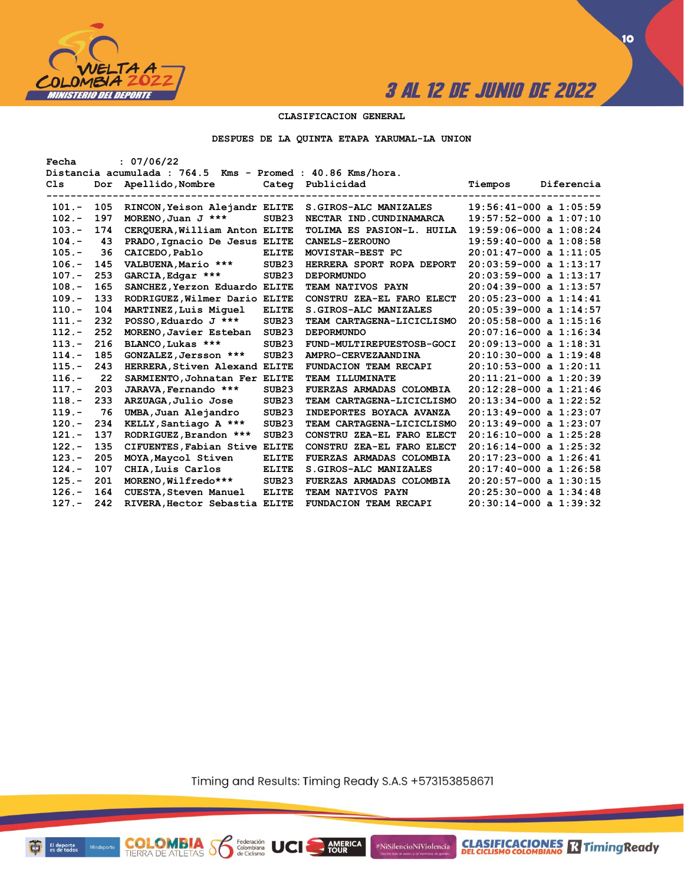

#### **CLASIFICACION GENERAL**

**DESPUES DE LA QUINTA ETAPA YARUMAL-LA UNION**

| : 07/06/22<br>Fecha |                                                            |                               |                   |                           |                            |  |  |  |  |  |
|---------------------|------------------------------------------------------------|-------------------------------|-------------------|---------------------------|----------------------------|--|--|--|--|--|
|                     | Distancia acumulada : 764.5 Kms - Promed : 40.86 Kms/hora. |                               |                   |                           |                            |  |  |  |  |  |
| Cls                 | Dor                                                        | Apellido, Nombre              |                   | Categ Publicidad          | Tiempos<br>Diferencia      |  |  |  |  |  |
|                     |                                                            |                               |                   | ----------------          | -------------------        |  |  |  |  |  |
| $101 -$             | 105                                                        | RINCON, Yeison Alejandr ELITE |                   | S. GIROS-ALC MANIZALES    | $19:56:41-000$ a $1:05:59$ |  |  |  |  |  |
| $102 -$             | 197                                                        | MORENO, Juan J ***            | SUB <sub>23</sub> | NECTAR IND.CUNDINAMARCA   | $19:57:52-000$ a $1:07:10$ |  |  |  |  |  |
| $103 -$             | 174                                                        | CERQUERA, William Anton ELITE |                   | TOLIMA ES PASION-L. HUILA | $19:59:06-000$ a $1:08:24$ |  |  |  |  |  |
| $104. -$            | 43                                                         | PRADO, Ignacio De Jesus ELITE |                   | <b>CANELS-ZEROUNO</b>     | $19:59:40-000$ a $1:08:58$ |  |  |  |  |  |
| $105. -$            | 36                                                         | CAICEDO, Pablo                | <b>ELITE</b>      | MOVISTAR-BEST PC          | $20:01:47-000$ a $1:11:05$ |  |  |  |  |  |
| $106. -$            | 145                                                        | VALBUENA, Mario ***           | SUB23             | HERRERA SPORT ROPA DEPORT | $20:03:59-000$ a $1:13:17$ |  |  |  |  |  |
| $107. -$            | 253                                                        | GARCIA, Edgar ***             | SUB <sub>23</sub> | <b>DEPORMUNDO</b>         | $20:03:59-000$ a $1:13:17$ |  |  |  |  |  |
| $108. -$            | 165                                                        | SANCHEZ, Yerzon Eduardo ELITE |                   | TEAM NATIVOS PAYN         | $20:04:39-000$ a $1:13:57$ |  |  |  |  |  |
| $109. -$            | 133                                                        | RODRIGUEZ, Wilmer Dario ELITE |                   | CONSTRU ZEA-EL FARO ELECT | $20:05:23-000$ a $1:14:41$ |  |  |  |  |  |
| $110. -$            | 104                                                        | MARTINEZ, Luis Miquel         | <b>ELITE</b>      | S. GIROS-ALC MANIZALES    | $20:05:39-000$ a $1:14:57$ |  |  |  |  |  |
| $111. -$            | 232                                                        | POSSO, Eduardo J ***          | SUB <sub>23</sub> | TEAM CARTAGENA-LICICLISMO | $20:05:58-000$ a $1:15:16$ |  |  |  |  |  |
| $112 -$             | 252                                                        | MORENO, Javier Esteban        | SUB <sub>23</sub> | <b>DEPORMUNDO</b>         | $20:07:16-000$ a $1:16:34$ |  |  |  |  |  |
| $113 -$             | 216                                                        | BLANCO, Lukas ***             | SUB <sub>23</sub> | FUND-MULTIREPUESTOSB-GOCI | $20:09:13-000$ a $1:18:31$ |  |  |  |  |  |
| $114. -$            | 185                                                        | GONZALEZ, Jersson ***         | SUB <sub>23</sub> | AMPRO-CERVEZAANDINA       | $20:10:30-000$ a $1:19:48$ |  |  |  |  |  |
| $115. -$            | 243                                                        | HERRERA, Stiven Alexand ELITE |                   | FUNDACION TEAM RECAPI     | $20:10:53-000$ a $1:20:11$ |  |  |  |  |  |
| $116. -$            | 22                                                         | SARMIENTO, Johnatan Fer ELITE |                   | TEAM ILLUMINATE           | $20:11:21-000$ a $1:20:39$ |  |  |  |  |  |
| $117. -$            | 203                                                        | JARAVA, Fernando ***          | SUB <sub>23</sub> | FUERZAS ARMADAS COLOMBIA  | $20:12:28-000$ a $1:21:46$ |  |  |  |  |  |
| $118. -$            | 233                                                        | ARZUAGA, Julio Jose           | SUB <sub>23</sub> | TEAM CARTAGENA-LICICLISMO | $20:13:34-000$ a $1:22:52$ |  |  |  |  |  |
| $119. -$            | 76                                                         | UMBA, Juan Alejandro          | SUB <sub>23</sub> | INDEPORTES BOYACA AVANZA  | $20:13:49-000$ a $1:23:07$ |  |  |  |  |  |
| $120 -$             | 234                                                        | KELLY, Santiago A ***         | SUB <sub>23</sub> | TEAM CARTAGENA-LICICLISMO | $20:13:49-000$ a $1:23:07$ |  |  |  |  |  |
| $121 -$             | 137                                                        | RODRIGUEZ, Brandon ***        | SUB <sub>23</sub> | CONSTRU ZEA-EL FARO ELECT | $20:16:10-000$ a $1:25:28$ |  |  |  |  |  |
| $122 -$             | 135                                                        | CIFUENTES, Fabian Stive ELITE |                   | CONSTRU ZEA-EL FARO ELECT | $20:16:14-000$ a $1:25:32$ |  |  |  |  |  |
| $123 -$             | 205                                                        | MOYA, Maycol Stiven           | <b>ELITE</b>      | FUERZAS ARMADAS COLOMBIA  | $20:17:23-000$ a $1:26:41$ |  |  |  |  |  |
| $124. -$            | 107                                                        | CHIA, Luis Carlos             | <b>ELITE</b>      | S. GIROS-ALC MANIZALES    | $20:17:40-000$ a $1:26:58$ |  |  |  |  |  |
| $125. -$            | 201                                                        | MORENO, Wilfredo***           | SUB <sub>23</sub> | FUERZAS ARMADAS COLOMBIA  | $20:20:57-000$ a $1:30:15$ |  |  |  |  |  |
| $126. -$            | 164                                                        | <b>CUESTA, Steven Manuel</b>  | <b>ELITE</b>      | TEAM NATIVOS PAYN         | $20:25:30-000$ a $1:34:48$ |  |  |  |  |  |
| $127 -$             | 242                                                        | RIVERA, Hector Sebastia ELITE |                   | FUNDACION TEAM RECAPI     | $20:30:14-000$ a $1:39:32$ |  |  |  |  |  |
|                     |                                                            |                               |                   |                           |                            |  |  |  |  |  |

Timing and Results: Timing Ready S.A.S +573153858671

**AMERICA** 

UCI

#NiSilencioNiViolencia



**CLASIFICACIONES** TimingReady

**10**

**COLOMBIA**<br>TIERRA DE ATLETAS **S** de Ciclismo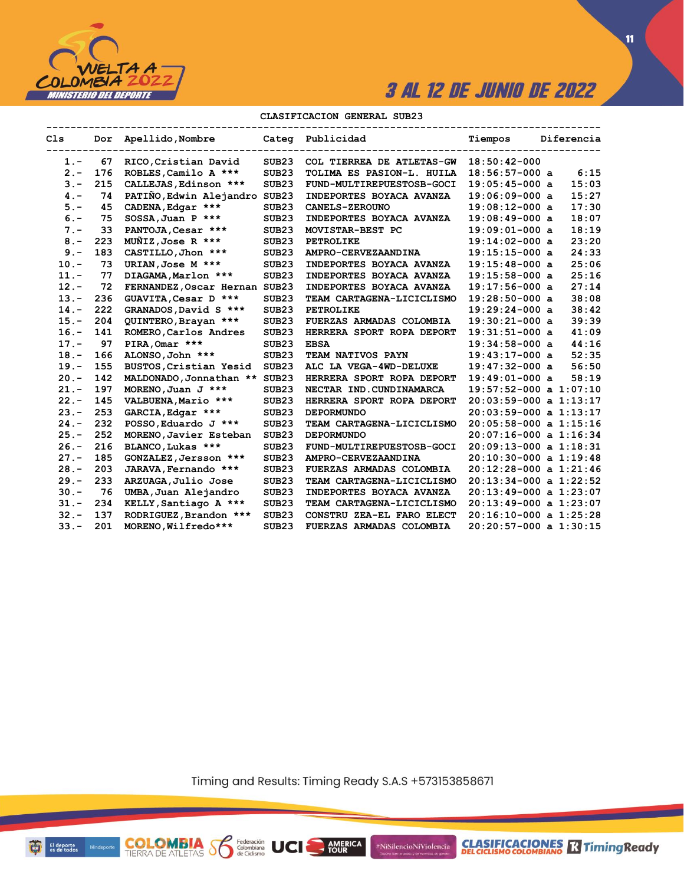

**11**

#### **CLASIFICACION GENERAL SUB23**

| C1s     |     | Dor Apellido, Nombre          |                   | Categ Publicidad          | Tiempos                    | Diferencia |
|---------|-----|-------------------------------|-------------------|---------------------------|----------------------------|------------|
| $1 -$   | 67  | RICO, Cristian David          | SUB23             | COL TIERREA DE ATLETAS-GW | $18:50:42-000$             |            |
| $2 -$   | 176 | ROBLES, Camilo A ***          | SUB <sub>23</sub> | TOLIMA ES PASION-L. HUILA | $18:56:57-000$ a           | 6:15       |
| $3 -$   | 215 | CALLEJAS, Edinson ***         | SUB23             | FUND-MULTIREPUESTOSB-GOCI | $19:05:45-000$ a           | 15:03      |
| $4 -$   | 74  | PATIÑO, Edwin Alejandro       | SUB <sub>23</sub> | INDEPORTES BOYACA AVANZA  | $19:06:09-000$ a           | 15:27      |
| $5. -$  | 45  | CADENA, Edgar ***             | SUB <sub>23</sub> | CANELS-ZEROUNO            | $19:08:12-000$ a           | 17:30      |
| $6 -$   | 75  | $SOSSA$ , Juan P ***          | SUB <sub>23</sub> | INDEPORTES BOYACA AVANZA  | $19:08:49-000$ a           | 18:07      |
| $7 -$   | 33  | PANTOJA, Cesar ***            | SUB23             | MOVISTAR-BEST PC          | $19:09:01-000$ a           | 18:19      |
| $8 -$   | 223 | MUNIZ, Jose R ***             | SUB <sub>23</sub> | <b>PETROLIKE</b>          | $19:14:02-000$ a           | 23:20      |
| $9 -$   | 183 | CASTILLO, Jhon ***            | SUB23             | AMPRO-CERVEZAANDINA       | $19:15:15-000$ a           | 24:33      |
| $10. -$ | 73  | URIAN, Jose M ***             | SUB <sub>23</sub> | INDEPORTES BOYACA AVANZA  | $19:15:48-000$ a           | 25:06      |
| $11. -$ | 77  | DIAGAMA, Marlon ***           | SUB <sub>23</sub> | INDEPORTES BOYACA AVANZA  | $19:15:58-000$ a           | 25:16      |
| $12 -$  | 72  | FERNANDEZ, Oscar Hernan SUB23 |                   | INDEPORTES BOYACA AVANZA  | $19:17:56-000$ a           | 27:14      |
| $13 -$  | 236 | GUAVITA, Cesar D ***          | SUB <sub>23</sub> | TEAM CARTAGENA-LICICLISMO | $19:28:50-000$ a           | 38:08      |
| $14. -$ | 222 | GRANADOS, David S ***         | SUB <sub>23</sub> | <b>PETROLIKE</b>          | $19:29:24-000$ a           | 38:42      |
| $15. -$ | 204 | QUINTERO, Brayan ***          | SUB23             | FUERZAS ARMADAS COLOMBIA  | $19:30:21-000$ a           | 39:39      |
| $16. -$ | 141 | ROMERO, Carlos Andres         | SUB <sub>23</sub> | HERRERA SPORT ROPA DEPORT | $19:31:51-000$ a           | 41:09      |
| $17. -$ | 97  | PIRA, Omar ***                | SUB <sub>23</sub> | <b>EBSA</b>               | $19:34:58-000$ a           | 44:16      |
| $18. -$ | 166 | ALONSO, John ***              | SUB <sub>23</sub> | TEAM NATIVOS PAYN         | $19:43:17-000$ a           | 52:35      |
| $19. -$ | 155 | BUSTOS, Cristian Yesid        | SUB <sub>23</sub> | ALC LA VEGA-4WD-DELUXE    | $19:47:32-000$ a           | 56:50      |
| $20 -$  | 142 | MALDONADO, Jonnathan **       | SUB <sub>23</sub> | HERRERA SPORT ROPA DEPORT | $19:49:01-000$ a           | 58:19      |
| $21 -$  | 197 | MORENO, Juan $J$ ***          | SUB <sub>23</sub> | NECTAR IND. CUNDINAMARCA  | $19:57:52-000$ a $1:07:10$ |            |
| $22 -$  | 145 | VALBUENA, Mario ***           | SUB <sub>23</sub> | HERRERA SPORT ROPA DEPORT | $20:03:59-000$ a $1:13:17$ |            |
| $23 -$  | 253 | GARCIA, Edgar ***             | SUB23             | <b>DEPORMUNDO</b>         | $20:03:59-000$ a $1:13:17$ |            |
| $24. -$ | 232 | POSSO, Eduardo J ***          | SUB23             | TEAM CARTAGENA-LICICLISMO | $20:05:58-000$ a $1:15:16$ |            |
| $25. -$ | 252 | MORENO, Javier Esteban        | SUB23             | <b>DEPORMUNDO</b>         | $20:07:16-000$ a $1:16:34$ |            |
| $26. -$ | 216 | BLANCO, Lukas ***             | SUB <sub>23</sub> | FUND-MULTIREPUESTOSB-GOCI | $20:09:13-000$ a $1:18:31$ |            |
| $27 -$  | 185 | GONZALEZ, Jersson ***         | SUB <sub>23</sub> | AMPRO-CERVEZAANDINA       | $20:10:30-000$ a $1:19:48$ |            |
| $28 -$  | 203 | JARAVA, Fernando ***          | SUB <sub>23</sub> | FUERZAS ARMADAS COLOMBIA  | $20:12:28-000$ a $1:21:46$ |            |
| $29. -$ | 233 | ARZUAGA, Julio Jose           | SUB <sub>23</sub> | TEAM CARTAGENA-LICICLISMO | $20:13:34-000$ a $1:22:52$ |            |
| $30 -$  | 76  | UMBA, Juan Alejandro          | SUB <sub>23</sub> | INDEPORTES BOYACA AVANZA  | $20:13:49-000$ a $1:23:07$ |            |
| $31 -$  | 234 | KELLY, Santiago A ***         | SUB <sub>23</sub> | TEAM CARTAGENA-LICICLISMO | $20:13:49-000$ a $1:23:07$ |            |
| $32 -$  | 137 | RODRIGUEZ, Brandon ***        | SUB <sub>23</sub> | CONSTRU ZEA-EL FARO ELECT | $20:16:10-000$ a $1:25:28$ |            |
| $33 -$  | 201 | MORENO, Wilfredo***           | SUB <sub>23</sub> | FUERZAS ARMADAS COLOMBIA  | $20:20:57-000$ a $1:30:15$ |            |

Timing and Results: Timing Ready S.A.S +573153858671

AMERICA

#NiSilencioNiViolencia



**COLOMBIA SP** 

Federación<br>Colombiana<br>de Ciclismo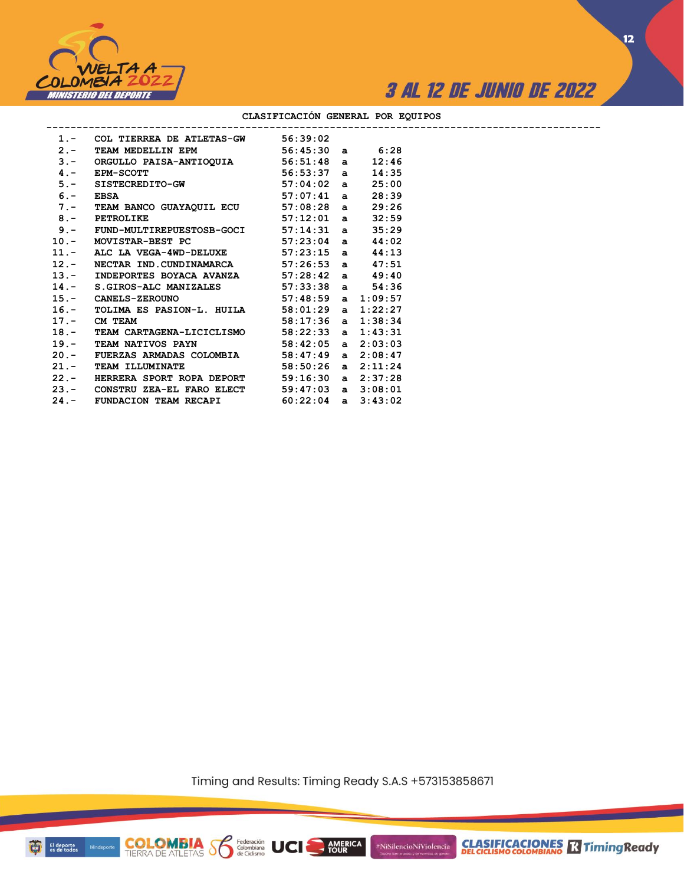



**12**

| 1.- COL TIERREA DE ATLETAS-GW 56:39:02                                                                                          |  |       |  |
|---------------------------------------------------------------------------------------------------------------------------------|--|-------|--|
| 2.- TEAM MEDELLIN EPM 56:45:30 a 6:28                                                                                           |  |       |  |
|                                                                                                                                 |  | 12:46 |  |
|                                                                                                                                 |  | 14:35 |  |
| 3. - ORGULLO PAISA-ANTIOQUIA 56:51:48 a<br>4. - EPM-SCOTT 56:53:37 a<br>5. - SISTECREDITO-GW 57:04:02 a<br>6. - EBSA 57:07:41 a |  | 25:00 |  |
|                                                                                                                                 |  | 28:39 |  |
| 7.- TEAM BANCO GUAYAQUIL ECU 57:08:28 a                                                                                         |  | 29:26 |  |
| $57:12:01$ a<br>8.- PETROLIKE                                                                                                   |  | 32:59 |  |
| 9.- FUND-MULTIREPUESTOSB-GOCI 57:14:31 a                                                                                        |  | 35:29 |  |
| 10.- MOVISTAR-BEST PC 57:23:04 a 44:02                                                                                          |  |       |  |
| 11.- ALC LA VEGA-4WD-DELUXE $57:23:15$ a                                                                                        |  | 44:13 |  |
| 12.- NECTAR IND. CUNDINAMARCA 57:26:53 a 47:51                                                                                  |  |       |  |
| 13.- INDEPORTES BOYACA AVANZA 57:28:42 a 49:40                                                                                  |  |       |  |
| 14.- S.GIROS-ALC MANIZALES 57:33:38 a $54:36$                                                                                   |  |       |  |
| 15.- CANELS-ZEROUNO 57:48:59 a 1:09:57                                                                                          |  |       |  |
| 16.- TOLIMA ES PASION-L. HUILA 58:01:29 a 1:22:27                                                                               |  |       |  |
| $58:17:36$ a $1:38:34$<br>17.- CM TEAM                                                                                          |  |       |  |
| 18.- TEAM CARTAGENA-LICICLISMO 58:22:33 a $1:43:31$                                                                             |  |       |  |
| 19.- TEAM NATIVOS PAYN 58:42:05 a 2:03:03                                                                                       |  |       |  |
| 20.- FUERZAS ARMADAS COLOMBIA 58:47:49 a 2:08:47                                                                                |  |       |  |
| 21.- TEAM ILLUMINATE 58:50:26 a 2:11:24                                                                                         |  |       |  |
| 22.- HERRERA SPORT ROPA DEPORT 59:16:30 a 2:37:28                                                                               |  |       |  |
| 23.- CONSTRU ZEA-EL FARO ELECT 59:47:03 a 3:08:01                                                                               |  |       |  |
| 24.- FUNDACION TEAM RECAPI 60:22:04 a 3:43:02                                                                                   |  |       |  |
|                                                                                                                                 |  |       |  |

#### **CLASIFICACIÓN GENERAL POR EQUIPOS**

Timing and Results: Timing Ready S.A.S +573153858671

AMERICA

UCI

#NiSilencioNiViolencia



**COLOMBIA**<br>TIERRA DE ATLETAS **S** a Ciclismo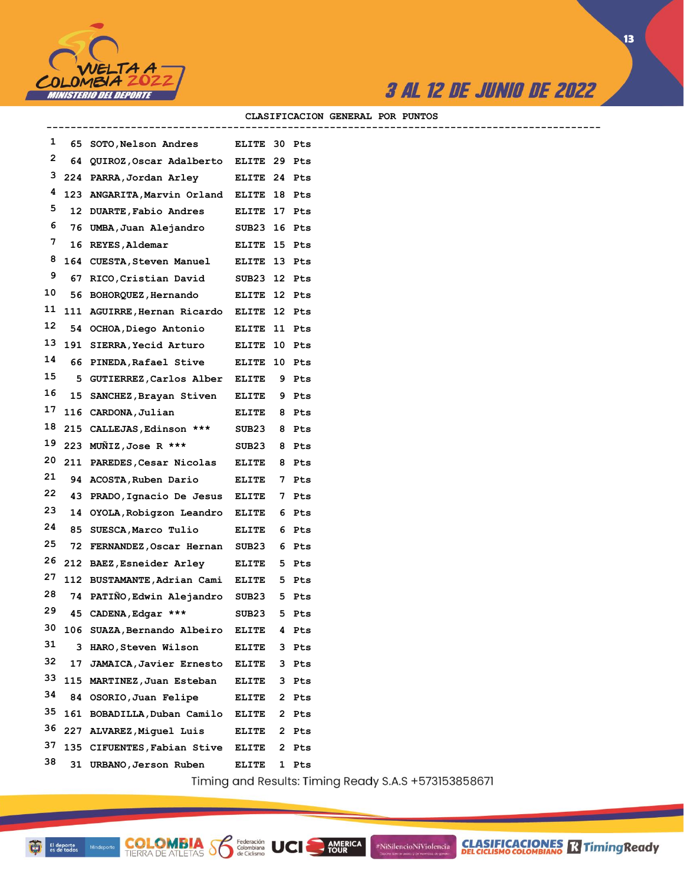

 $\sqrt{13}$ 

#### CLASIFICACION GENERAL POR PUNTOS

| 1  |     | 65 SOTO, Nelson Andres ELITE 30 Pts      |              |   |                                          |
|----|-----|------------------------------------------|--------------|---|------------------------------------------|
| 2  |     | 64 QUIROZ, Oscar Adalberto ELITE 29 Pts  |              |   |                                          |
| з  |     | 224 PARRA, Jordan Arley ELITE 24 Pts     |              |   |                                          |
| 4  |     | 123 ANGARITA, Marvin Orland ELITE 18 Pts |              |   |                                          |
| 5  |     | 12 DUARTE, Fabio Andres ELITE 17 Pts     |              |   |                                          |
| 6  |     | 76 UMBA, Juan Alejandro SUB23 16 Pts     |              |   |                                          |
| 7  |     | 16 REYES, Aldemar BLITE 15 Pts           |              |   |                                          |
| 8  |     | 164 CUESTA, Steven Manuel ELITE 13 Pts   |              |   |                                          |
| 9  |     | 67 RICO, Cristian David SUB23 12 Pts     |              |   |                                          |
| 10 |     | 56 BOHORQUEZ, Hernando ELITE 12 Pts      |              |   |                                          |
| 11 |     | 111 AGUIRRE, Hernan Ricardo ELITE 12 Pts |              |   |                                          |
| 12 |     | 54 OCHOA, Diego Antonio ELITE 11 Pts     |              |   |                                          |
| 13 |     | 191 SIERRA, Yecid Arturo ELITE 10 Pts    |              |   |                                          |
| 14 |     | 66 PINEDA, Rafael Stive ELITE 10 Pts     |              |   |                                          |
| 15 |     | 5 GUTIERREZ, Carlos Alber ELITE 9 Pts    |              |   |                                          |
| 16 |     | 15 SANCHEZ, Brayan Stiven ELITE 9 Pts    |              |   |                                          |
| 17 |     | 116 CARDONA, Julian                      | ELITE 8 Pts  |   |                                          |
| 18 |     | 215 CALLEJAS, Edinson *** SUB23 8 Pts    |              |   |                                          |
| 19 |     | 223 MUÑIZ, Jose R *** SUB23 8 Pts        |              |   |                                          |
| 20 |     | 211 PAREDES, Cesar Nicolas ELITE         |              |   | 8 Pts                                    |
| 21 |     | 94 ACOSTA, Ruben Dario ELITE 7 Pts       |              |   |                                          |
| 22 |     | 43 PRADO, Ignacio De Jesus ELITE         |              |   | 7 Pts                                    |
| 23 |     | 14 OYOLA, Robigzon Leandro ELITE 6 Pts   |              |   |                                          |
| 24 |     | 85 SUESCA, Marco Tulio ELITE             |              |   | 6 Pts                                    |
| 25 |     | 72 FERNANDEZ, Oscar Hernan SUB23 6 Pts   |              |   |                                          |
| 26 |     | 212 BAEZ, Esneider Arley ELITE           |              |   | 5 Pts                                    |
| 27 |     | 112 BUSTAMANTE, Adrian Cami ELITE 5 Pts  |              |   |                                          |
| 28 |     | 74 PATINO, Edwin Alejandro SUB23 5 Pts   |              |   |                                          |
| 29 |     | 45 CADENA, Edgar ***                     | SUB23        |   | 5 Pts                                    |
| 30 | 106 | SUAZA, Bernando Albeiro                  | <b>ELITE</b> | 4 | Pts                                      |
| 31 |     | 3 HARO, Steven Wilson                    | <b>ELITE</b> | 3 | Pts                                      |
| 32 | 17  | <b>JAMAICA, Javier Ernesto</b>           | <b>ELITE</b> | 3 | Pts                                      |
| 33 |     | 115 MARTINEZ, Juan Esteban               | <b>ELITE</b> | 3 | Pts                                      |
| 34 |     | 84 OSORIO, Juan Felipe                   | <b>ELITE</b> | 2 | Pts                                      |
| 35 |     | 161 BOBADILLA, Duban Camilo              | ELITE        | 2 | Pts                                      |
| 36 |     | 227 ALVAREZ, Miquel Luis                 | <b>ELITE</b> |   | 2 Pts                                    |
| 37 |     | 135 CIFUENTES, Fabian Stive              | ELITE        | 2 | Pts                                      |
| 38 |     | 31 URBANO, Jerson Ruben                  | <b>ELITE</b> | 1 | Pts                                      |
|    |     |                                          |              |   | Timing and Results: Timing Ready S.A.S · |

**COLOMBIA Sombiana** UCI

ning Ready S.A.S +573153858671

AMERICA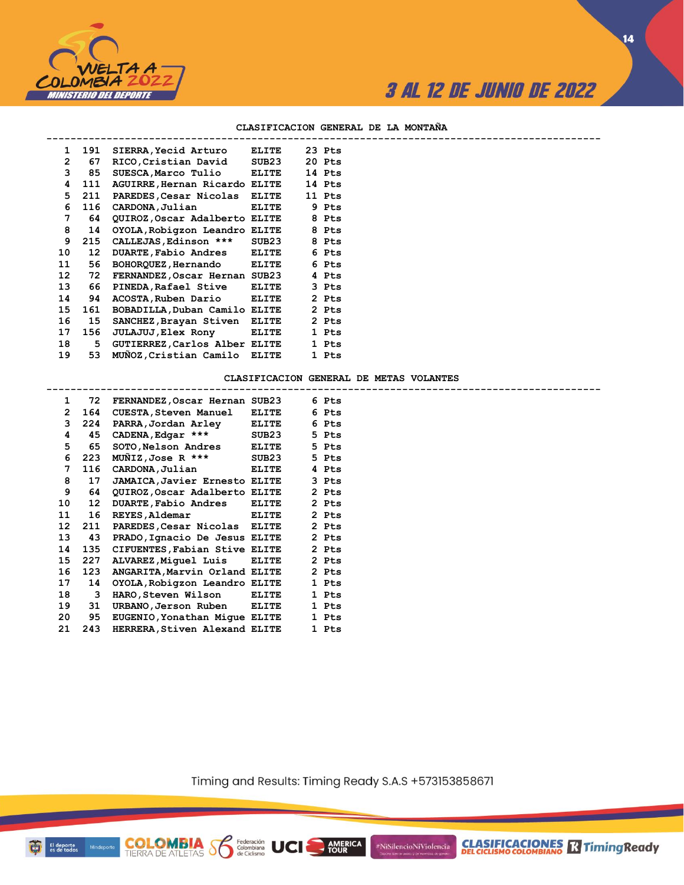

**CLASIFICACIONES** R Timing Ready

**14**

#### **CLASIFICACION GENERAL DE LA MONTAÑA**

| $\mathbf{1}$    | 191   | SIERRA, Yecid Arturo                | <b>ELITE</b> | 23 Pts |
|-----------------|-------|-------------------------------------|--------------|--------|
| $\overline{2}$  | 67    | RICO, Cristian David                | SUB23        | 20 Pts |
| 3               | 85    | SUESCA, Marco Tulio ELITE           |              | 14 Pts |
| 4               | 111   | AGUIRRE, Hernan Ricardo ELITE       |              | 14 Pts |
|                 | 5 211 | PAREDES, Cesar Nicolas ELITE        |              | 11 Pts |
| 6               | 116   | CARDONA, Julian                     | ELITE        | 9 Pts  |
| 7               | 64    | QUIROZ, Oscar Adalberto ELITE 8 Pts |              |        |
| 8               | 14    | OYOLA, Robigzon Leandro ELITE       |              | 8 Pts  |
| 9               | 215   | CALLEJAS, Edinson ***               | SUB23        | 8 Pts  |
| 10              | 12    | DUARTE, Fabio Andres ELITE          |              | 6 Pts  |
| 11              | 56    | BOHORQUEZ, Hernando ELITE           |              | 6 Pts  |
| 12              | 72    | FERNANDEZ,Oscar Hernan SUB23        |              | 4 Pts  |
| 13 <sup>7</sup> | 66 -  | PINEDA, Rafael Stive ELITE          |              | 3 Pts  |
| 14              | 94    | ACOSTA, Ruben Dario ELITE           |              | 2 Pts  |
| 15              | 161   | BOBADILLA, Duban Camilo ELITE       |              | 2 Pts  |
| 16              | 15    | SANCHEZ, Brayan Stiven ELITE        |              | 2 Pts  |
| 17              | 156   | <b>JULAJUJ, Elex Rony ELITE</b>     |              | 1 Pts  |
| 18              | 5     | GUTIERREZ, Carlos Alber ELITE       |              | 1 Pts  |
| 19              | 53    | MUNOZ, Cristian Camilo ELITE        |              | 1 Pts  |
|                 |       |                                     |              |        |

#### **CLASIFICACION GENERAL DE METAS VOLANTES**

| $\mathbf{1}$ |                  | 72 FERNANDEZ, Oscar Hernan SUB23     |              | 6 Pts |  |
|--------------|------------------|--------------------------------------|--------------|-------|--|
| $\mathbf{2}$ | 164              | <b>CUESTA, Steven Manuel</b>         | <b>ELITE</b> | 6 Pts |  |
| 3            | 224              | PARRA,Jordan Arley                   | <b>ELITE</b> | 6 Pts |  |
| 4            | 45               | CADENA, Edgar *** SUB23              |              | 5 Pts |  |
| 5            | 65               | SOTO, Nelson Andres ELITE            |              | 5 Pts |  |
| 6            | 223              | MUNIZ, Jose R *** SUB23              |              | 5 Pts |  |
| 7            | 116              | CARDONA, Julian                      | ELITE        | 4 Pts |  |
| 8            | 17               | <b>JAMAICA, Javier Ernesto ELITE</b> |              | 3 Pts |  |
| 9            | 64               | QUIROZ,Oscar Adalberto ELITE         |              | 2 Pts |  |
| 10           | 12 <sup>12</sup> | DUARTE, Fabio Andres ELITE           |              | 2 Pts |  |
| 11           | 16               | <b>REYES, Aldemar</b>                | ELITE        | 2 Pts |  |
| 12           | 211              | PAREDES, Cesar Nicolas ELITE         |              | 2 Pts |  |
| 13           | 43               | PRADO, Ignacio De Jesus ELITE        |              | 2 Pts |  |
| 14           | 135              | CIFUENTES, Fabian Stive ELITE        |              | 2 Pts |  |
| 15           | 227              | ALVAREZ, Miquel Luis ELITE           |              | 2 Pts |  |
| 16           | 123              | ANGARITA, Marvin Orland ELITE        |              | 2 Pts |  |
| 17           | 14               | OYOLA, Robigzon Leandro ELITE        |              | 1 Pts |  |
| 18           | 3                | HARO,Steven Wilson                   | ELITE        | 1 Pts |  |
| 19           | 31               | URBANO, Jerson Ruben                 | <b>ELITE</b> | 1 Pts |  |
| 20           | 95               | EUGENIO, Yonathan Mique ELITE        |              | 1 Pts |  |
| 21           | 243              | HERRERA, Stiven Alexand ELITE        |              | 1 Pts |  |
|              |                  |                                      |              |       |  |

**COLOMBIA Se Ederación** UCI

Timing and Results: Timing Ready S.A.S +573153858671

**AMERICA**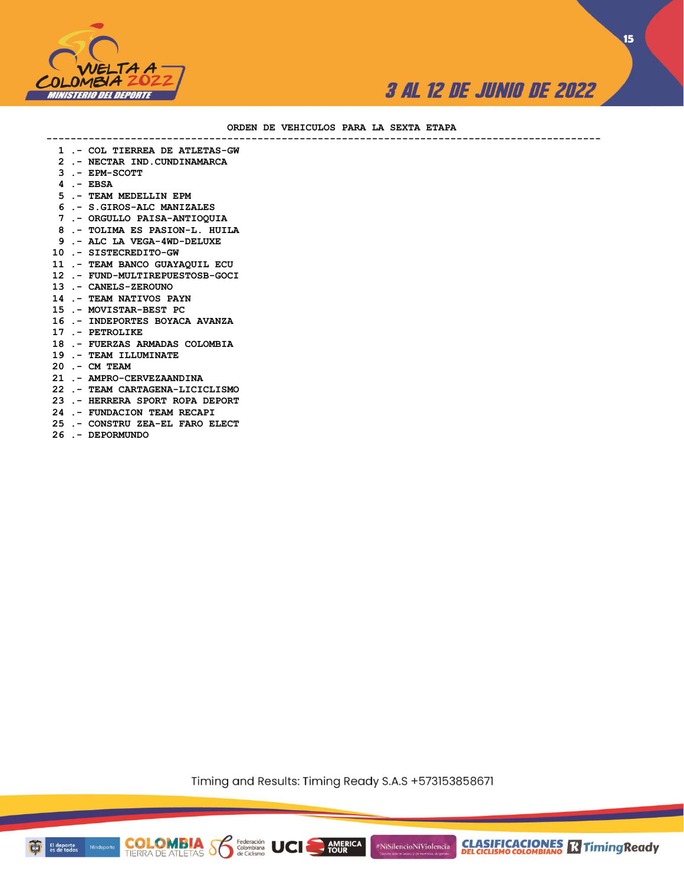

**15**

#### **ORDEN DE VEHICULOS PARA LA SEXTA ETAPA**

**--------------------------------------------------------------------------------------------**

- **1 .- COL TIERREA DE ATLETAS-GW**
- **2 .- NECTAR IND.CUNDINAMARCA**
- **3 .- EPM-SCOTT**
- **4 .- EBSA**
- **5 .- TEAM MEDELLIN EPM**
- **6 .- S.GIROS-ALC MANIZALES**
- **7 .- ORGULLO PAISA-ANTIOQUIA**
- **8 .- TOLIMA ES PASION-L. HUILA**
- **9 .- ALC LA VEGA-4WD-DELUXE**
- **10 .- SISTECREDITO-GW**
- **11 .- TEAM BANCO GUAYAQUIL ECU**
- **12 .- FUND-MULTIREPUESTOSB-GOCI**
- **13 .- CANELS-ZEROUNO**
- **14 .- TEAM NATIVOS PAYN**
- **15 .- MOVISTAR-BEST PC**
- **16 .- INDEPORTES BOYACA AVANZA**
- **17 .- PETROLIKE**
- **18 .- FUERZAS ARMADAS COLOMBIA**
- **19 .- TEAM ILLUMINATE**
- **20 .- CM TEAM**
- **21 .- AMPRO-CERVEZAANDINA**
- **22 .- TEAM CARTAGENA-LICICLISMO**
- **23 .- HERRERA SPORT ROPA DEPORT**
- **24 .- FUNDACION TEAM RECAPI**
- **25 .- CONSTRU ZEA-EL FARO ELECT**
- **26 .- DEPORMUNDO**

Timing and Results: Timing Ready S.A.S +573153858671

**AMERICA**<br>TOUR

#NiSilencioNiViolencia

**COLOMBIA Solutions UCI** 

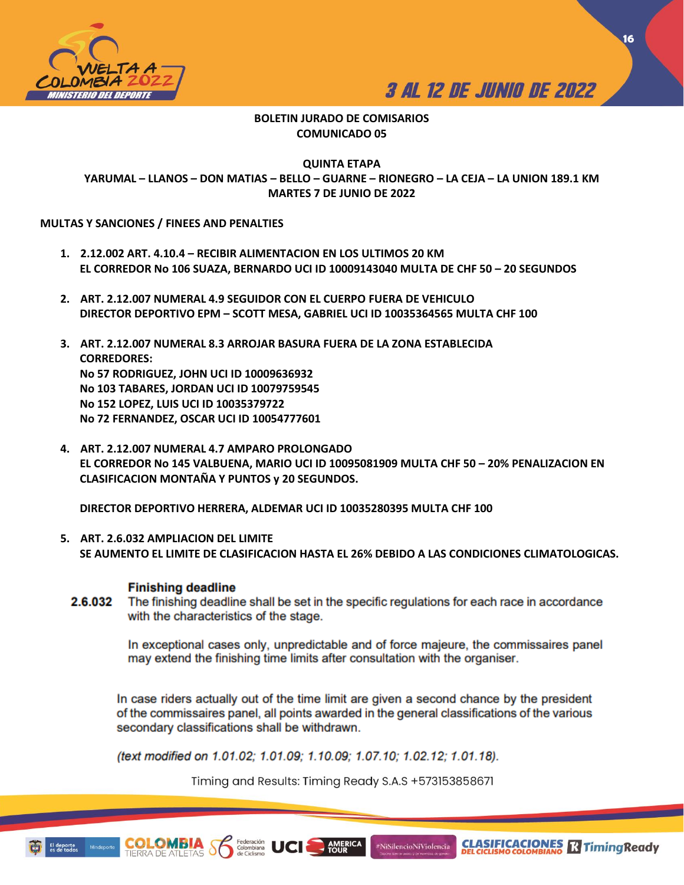



### **BOLETIN JURADO DE COMISARIOS COMUNICADO 05**

**QUINTA ETAPA YARUMAL – LLANOS – DON MATIAS – BELLO – GUARNE – RIONEGRO – LA CEJA – LA UNION 189.1 KM MARTES 7 DE JUNIO DE 2022**

#### **MULTAS Y SANCIONES / FINEES AND PENALTIES**

- **1. 2.12.002 ART. 4.10.4 – RECIBIR ALIMENTACION EN LOS ULTIMOS 20 KM EL CORREDOR No 106 SUAZA, BERNARDO UCI ID 10009143040 MULTA DE CHF 50 – 20 SEGUNDOS**
- **2. ART. 2.12.007 NUMERAL 4.9 SEGUIDOR CON EL CUERPO FUERA DE VEHICULO DIRECTOR DEPORTIVO EPM – SCOTT MESA, GABRIEL UCI ID 10035364565 MULTA CHF 100**
- **3. ART. 2.12.007 NUMERAL 8.3 ARROJAR BASURA FUERA DE LA ZONA ESTABLECIDA CORREDORES: No 57 RODRIGUEZ, JOHN UCI ID 10009636932 No 103 TABARES, JORDAN UCI ID 10079759545 No 152 LOPEZ, LUIS UCI ID 10035379722 No 72 FERNANDEZ, OSCAR UCI ID 10054777601**
- **4. ART. 2.12.007 NUMERAL 4.7 AMPARO PROLONGADO EL CORREDOR No 145 VALBUENA, MARIO UCI ID 10095081909 MULTA CHF 50 – 20% PENALIZACION EN CLASIFICACION MONTAÑA Y PUNTOS y 20 SEGUNDOS.**

**DIRECTOR DEPORTIVO HERRERA, ALDEMAR UCI ID 10035280395 MULTA CHF 100**

**5. ART. 2.6.032 AMPLIACION DEL LIMITE SE AUMENTO EL LIMITE DE CLASIFICACION HASTA EL 26% DEBIDO A LAS CONDICIONES CLIMATOLOGICAS.** 

#### **Finishing deadline**

2.6.032 The finishing deadline shall be set in the specific regulations for each race in accordance with the characteristics of the stage.

> In exceptional cases only, unpredictable and of force majeure, the commissaires panel may extend the finishing time limits after consultation with the organiser.

In case riders actually out of the time limit are given a second chance by the president of the commissaires panel, all points awarded in the general classifications of the various secondary classifications shall be withdrawn.

(text modified on 1.01.02; 1.01.09; 1.10.09; 1.07.10; 1.02.12; 1.01.18).

Timing and Results: Timing Ready S.A.S +573153858671

**AMERICA**<br>TOUR

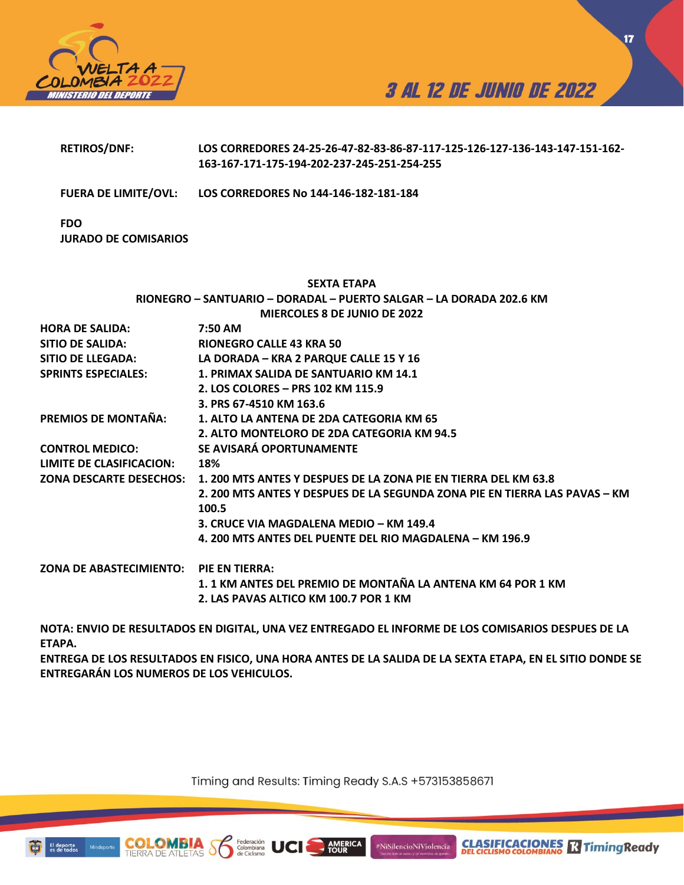



**17**

|                                           | 163-167-171-175-194-202-237-245-251-254-255                                              |
|-------------------------------------------|------------------------------------------------------------------------------------------|
|                                           | FUERA DE LIMITE/OVL: LOS CORREDORES No 144-146-182-181-184                               |
| <b>FDO</b><br><b>JURADO DE COMISARIOS</b> |                                                                                          |
|                                           | <b>SEXTA ETAPA</b>                                                                       |
|                                           | RIONEGRO - SANTUARIO - DORADAL - PUERTO SALGAR - LA DORADA 202.6 KM                      |
|                                           | <b>MIERCOLES 8 DE JUNIO DE 2022</b>                                                      |
| <b>HORA DE SALIDA:</b>                    | 7:50 AM                                                                                  |
| <b>SITIO DE SALIDA:</b>                   | <b>RIONEGRO CALLE 43 KRA 50</b>                                                          |
| SITIO DE LLEGADA:                         | LA DORADA - KRA 2 PARQUE CALLE 15 Y 16                                                   |
| <b>SPRINTS ESPECIALES:</b>                | 1. PRIMAX SALIDA DE SANTUARIO KM 14.1                                                    |
|                                           | 2. LOS COLORES - PRS 102 KM 115.9                                                        |
|                                           | 3. PRS 67-4510 KM 163.6                                                                  |
| PREMIOS DE MONTAÑA:                       | 1. ALTO LA ANTENA DE 2DA CATEGORIA KM 65                                                 |
|                                           | 2. ALTO MONTELORO DE 2DA CATEGORIA KM 94.5                                               |
| <b>CONTROL MEDICO:</b>                    | SE AVISARÁ OPORTUNAMENTE                                                                 |
| <b>LIMITE DE CLASIFICACION:</b>           | 18%                                                                                      |
|                                           | ZONA DESCARTE DESECHOS:  1. 200 MTS ANTES Y DESPUES DE LA ZONA PIE EN TIERRA DEL KM 63.8 |
|                                           | 2. 200 MTS ANTES Y DESPUES DE LA SEGUNDA ZONA PIE EN TIERRA LAS PAVAS - KM               |
|                                           | 100.5                                                                                    |
|                                           | 3. CRUCE VIA MAGDALENA MEDIO - KM 149.4                                                  |
|                                           | 4. 200 MTS ANTES DEL PUENTE DEL RIO MAGDALENA – KM 196.9                                 |
| ZONA DE ABASTECIMIENTO: PIE EN TIERRA:    |                                                                                          |
|                                           | 1. 1 KM ANTES DEL PREMIO DE MONTAÑA LA ANTENA KM 64 POR 1 KM                             |
|                                           | 2. LAS PAVAS ALTICO KM 100.7 POR 1 KM                                                    |
|                                           |                                                                                          |

**RETIROS/DNF: LOS CORREDORES 24-25-26-47-82-83-86-87-117-125-126-127-136-143-147-151-162-**

**NOTA: ENVIO DE RESULTADOS EN DIGITAL, UNA VEZ ENTREGADO EL INFORME DE LOS COMISARIOS DESPUES DE LA ETAPA.** 

**ENTREGA DE LOS RESULTADOS EN FISICO, UNA HORA ANTES DE LA SALIDA DE LA SEXTA ETAPA, EN EL SITIO DONDE SE ENTREGARÁN LOS NUMEROS DE LOS VEHICULOS.** 

Timing and Results: Timing Ready S.A.S +573153858671

AMERICA

#NiSilencioNiViolencia



**COLO** 

Federación<br>Colombiana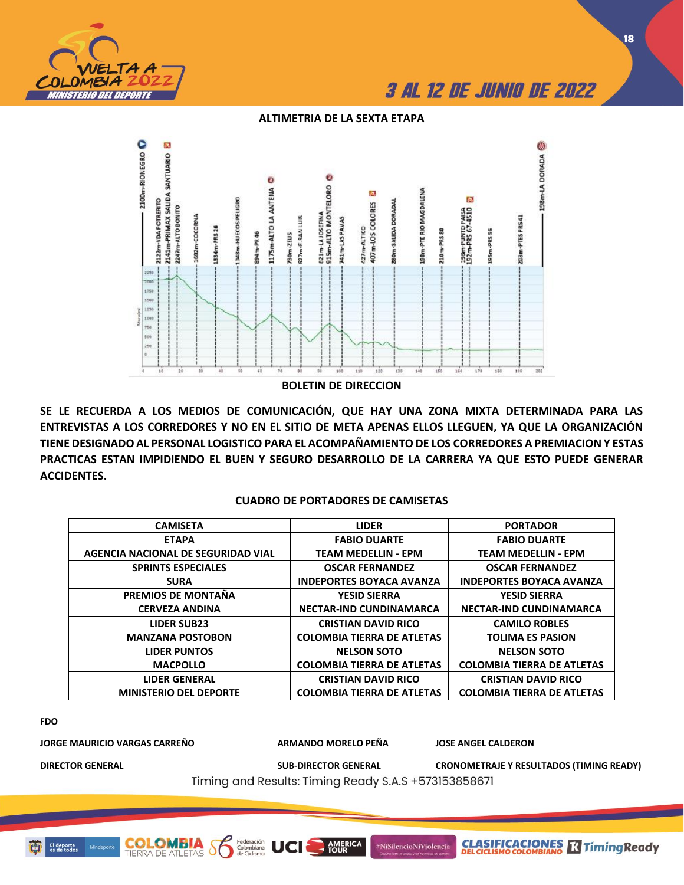

#### **ALTIMETRIA DE LA SEXTA ETAPA**



**SE LE RECUERDA A LOS MEDIOS DE COMUNICACIÓN, QUE HAY UNA ZONA MIXTA DETERMINADA PARA LAS ENTREVISTAS A LOS CORREDORES Y NO EN EL SITIO DE META APENAS ELLOS LLEGUEN, YA QUE LA ORGANIZACIÓN TIENE DESIGNADO AL PERSONAL LOGISTICO PARA EL ACOMPAÑAMIENTO DE LOS CORREDORES A PREMIACION Y ESTAS PRACTICAS ESTAN IMPIDIENDO EL BUEN Y SEGURO DESARROLLO DE LA CARRERA YA QUE ESTO PUEDE GENERAR ACCIDENTES.** 

#### **CUADRO DE PORTADORES DE CAMISETAS**

| <b>CAMISETA</b>                    | <b>LIDER</b>                      | <b>PORTADOR</b>                   |
|------------------------------------|-----------------------------------|-----------------------------------|
| <b>ETAPA</b>                       | <b>FABIO DUARTE</b>               | <b>FABIO DUARTE</b>               |
| AGENCIA NACIONAL DE SEGURIDAD VIAL | <b>TEAM MEDELLIN - EPM</b>        | <b>TEAM MEDELLIN - EPM</b>        |
| <b>SPRINTS ESPECIALES</b>          | <b>OSCAR FERNANDEZ</b>            | <b>OSCAR FERNANDEZ</b>            |
| <b>SURA</b>                        | <b>INDEPORTES BOYACA AVANZA</b>   | <b>INDEPORTES BOYACA AVANZA</b>   |
| PREMIOS DE MONTAÑA                 | <b>YESID SIERRA</b>               | <b>YESID SIERRA</b>               |
| <b>CERVEZA ANDINA</b>              | <b>NECTAR-IND CUNDINAMARCA</b>    | <b>NECTAR-IND CUNDINAMARCA</b>    |
| <b>LIDER SUB23</b>                 | <b>CRISTIAN DAVID RICO</b>        | <b>CAMILO ROBLES</b>              |
| <b>MANZANA POSTOBON</b>            | <b>COLOMBIA TIERRA DE ATLETAS</b> | <b>TOLIMA ES PASION</b>           |
| <b>LIDER PUNTOS</b>                | <b>NELSON SOTO</b>                | <b>NELSON SOTO</b>                |
| <b>MACPOLLO</b>                    | <b>COLOMBIA TIERRA DE ATLETAS</b> | <b>COLOMBIA TIERRA DE ATLETAS</b> |
| <b>LIDER GENERAL</b>               | <b>CRISTIAN DAVID RICO</b>        | <b>CRISTIAN DAVID RICO</b>        |
| <b>MINISTERIO DEL DEPORTE</b>      | <b>COLOMBIA TIERRA DE ATLETAS</b> | <b>COLOMBIA TIERRA DE ATLETAS</b> |

**FDO**

**JORGE MAURICIO VARGAS CARREÑO ARMANDO MORELO PEÑA JOSE ANGEL CALDERON**

**COLOMBIA**<br>TIERRA DE ATLETAS

Federación<br>Colombiana<br>de Ciclismo

UCI

**DIRECTOR GENERAL SUB-DIRECTOR GENERAL CRONOMETRAJE Y RESULTADOS (TIMING READY)**

**CLASIFICACIONES Relationship Ready** 

Timing and Results: Timing Ready S.A.S +573153858671

**AMERICA** 

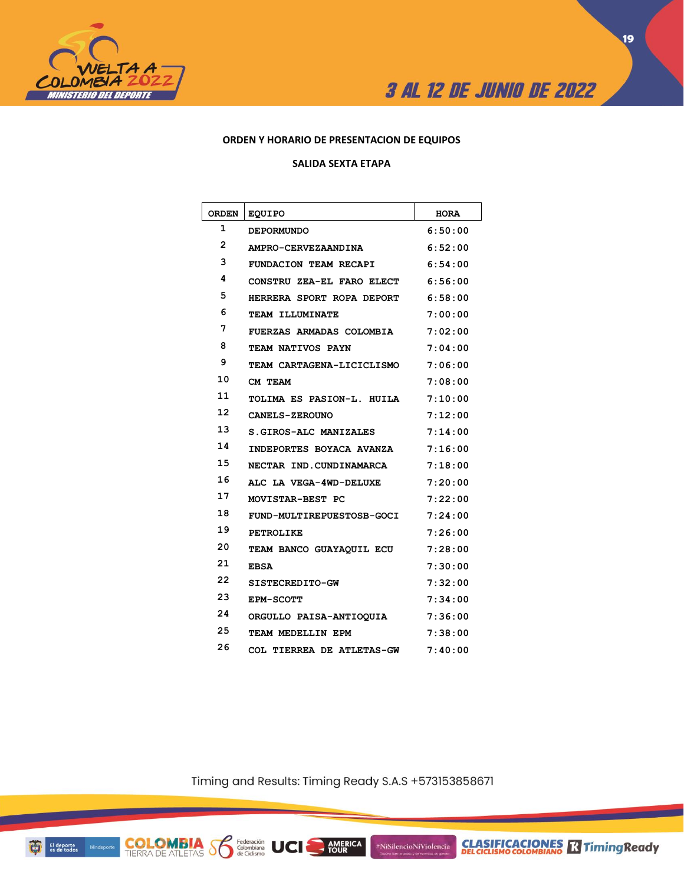



#### **ORDEN Y HORARIO DE PRESENTACION DE EQUIPOS**

#### **SALIDA SEXTA ETAPA**

| <b>ORDEN</b> | <b>EQUIPO</b>                   | <b>HORA</b> |
|--------------|---------------------------------|-------------|
| 1            | <b>DEPORMUNDO</b>               | 6:50:00     |
| 2            | AMPRO-CERVEZAANDINA             | 6:52:00     |
| 3            | FUNDACION TEAM RECAPI           | 6:54:00     |
| 4            | CONSTRU ZEA-EL FARO ELECT       | 6:56:00     |
| 5            | HERRERA SPORT ROPA DEPORT       | 6:58:00     |
| 6            | TEAM ILLUMINATE                 | 7:00:00     |
| 7            | <b>FUERZAS ARMADAS COLOMBIA</b> | 7:02:00     |
| 8            | TEAM NATIVOS PAYN               | 7:04:00     |
| 9            | TEAM CARTAGENA-LICICLISMO       | 7:06:00     |
| 10           | CM TEAM                         | 7:08:00     |
| 11           | TOLIMA ES PASION-L. HUILA       | 7:10:00     |
| 12           | <b>CANELS-ZEROUNO</b>           | 7:12:00     |
| 13           | S.GIROS-ALC MANIZALES           | 7:14:00     |
| 14           | INDEPORTES BOYACA AVANZA        | 7:16:00     |
| 15           | NECTAR IND.CUNDINAMARCA         | 7:18:00     |
| 16           | ALC LA VEGA-4WD-DELUXE          | 7:20:00     |
| 17           | MOVISTAR-BEST PC                | 7:22:00     |
| 18           | FUND-MULTIREPUESTOSB-GOCI       | 7:24:00     |
| 19           | <b>PETROLIKE</b>                | 7:26:00     |
| 20           | TEAM BANCO GUAYAQUIL ECU        | 7:28:00     |
| 21           | <b>EBSA</b>                     | 7:30:00     |
| 22           | SISTECREDITO-GW                 | 7:32:00     |
| 23           | EPM-SCOTT                       | 7:34:00     |
| 24           | ORGULLO PAISA-ANTIOOUIA         | 7:36:00     |
| 25           | TEAM MEDELLIN EPM               | 7:38:00     |
| 26           | COL TIERREA DE ATLETAS-GW       | 7:40:00     |

Timing and Results: Timing Ready S.A.S +573153858671

AMERICA

#NiSilencioNiViolencia

Federación<br>Colombiana<br>de Ciclismo

**COLOMBIA SP**